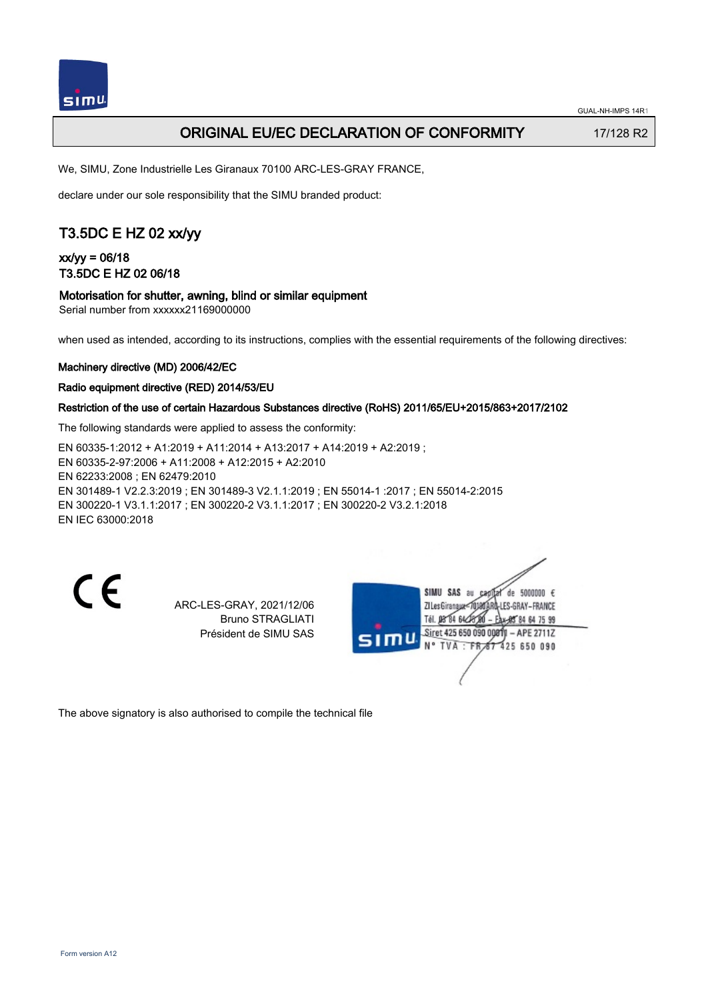

## ORIGINAL EU/EC DECLARATION OF CONFORMITY 17/128 R2

We, SIMU, Zone Industrielle Les Giranaux 70100 ARC-LES-GRAY FRANCE,

declare under our sole responsibility that the SIMU branded product:

# T3.5DC E HZ 02 xx/yy

xx/yy = 06/18 T3.5DC E HZ 02 06/18

### Motorisation for shutter, awning, blind or similar equipment

Serial number from xxxxxx21169000000

when used as intended, according to its instructions, complies with the essential requirements of the following directives:

### Machinery directive (MD) 2006/42/EC

### Radio equipment directive (RED) 2014/53/EU

### Restriction of the use of certain Hazardous Substances directive (RoHS) 2011/65/EU+2015/863+2017/2102

The following standards were applied to assess the conformity:

EN 60335‑1:2012 + A1:2019 + A11:2014 + A13:2017 + A14:2019 + A2:2019 ; EN 60335‑2‑97:2006 + A11:2008 + A12:2015 + A2:2010 EN 62233:2008 ; EN 62479:2010 EN 301489‑1 V2.2.3:2019 ; EN 301489‑3 V2.1.1:2019 ; EN 55014‑1 :2017 ; EN 55014‑2:2015 EN 300220‑1 V3.1.1:2017 ; EN 300220‑2 V3.1.1:2017 ; EN 300220‑2 V3.2.1:2018 EN IEC 63000:2018

CE

ARC-LES-GRAY, 2021/12/06 Bruno STRAGLIATI Président de SIMU SAS

SIMU SAS au de 5000000  $\epsilon$ ZI Les Giranaux-70180ARD -LES-GRAY-FRANCE Tél. 08 84 64 28 584 64 75 99 Siret 425 650 090 00811 - APE 2711Z TVA · FRAT 425 650 090

The above signatory is also authorised to compile the technical file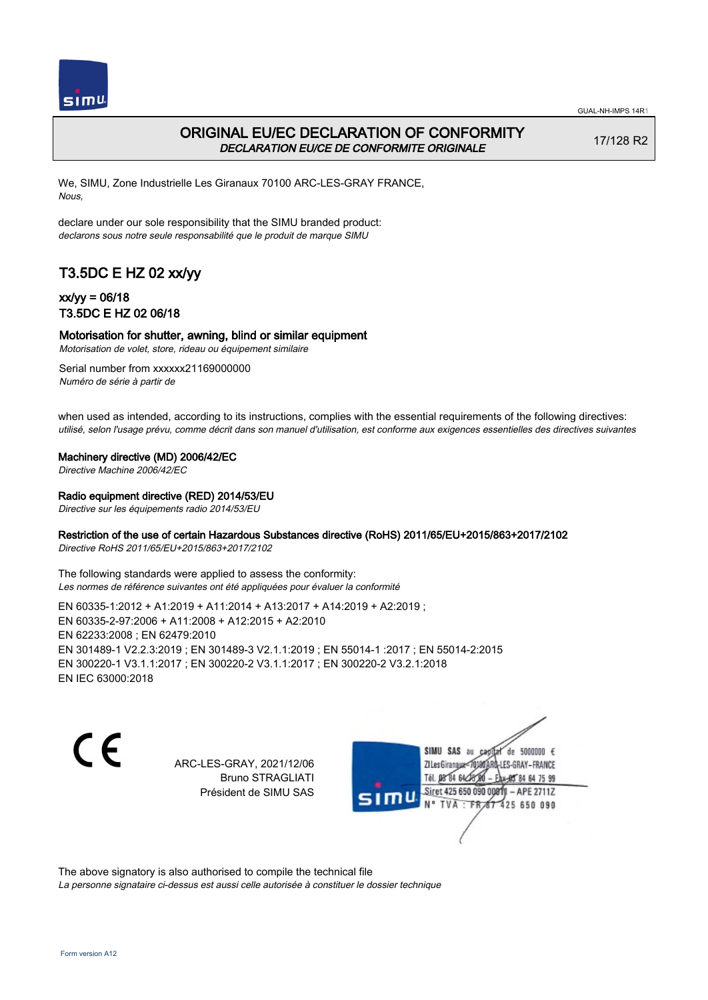

## ORIGINAL EU/EC DECLARATION OF CONFORMITY DECLARATION EU/CE DE CONFORMITE ORIGINALE

17/128 R2

We, SIMU, Zone Industrielle Les Giranaux 70100 ARC-LES-GRAY FRANCE, Nous,

declare under our sole responsibility that the SIMU branded product: declarons sous notre seule responsabilité que le produit de marque SIMU

# T3.5DC E HZ 02 xx/yy

### xx/yy = 06/18 T3.5DC E HZ 02 06/18

### Motorisation for shutter, awning, blind or similar equipment

Motorisation de volet, store, rideau ou équipement similaire

Serial number from xxxxxx21169000000 Numéro de série à partir de

when used as intended, according to its instructions, complies with the essential requirements of the following directives: utilisé, selon l'usage prévu, comme décrit dans son manuel d'utilisation, est conforme aux exigences essentielles des directives suivantes

Machinery directive (MD) 2006/42/EC

Directive Machine 2006/42/EC

### Radio equipment directive (RED) 2014/53/EU

Directive sur les équipements radio 2014/53/EU

### Restriction of the use of certain Hazardous Substances directive (RoHS) 2011/65/EU+2015/863+2017/2102

Directive RoHS 2011/65/EU+2015/863+2017/2102

The following standards were applied to assess the conformity: Les normes de référence suivantes ont été appliquées pour évaluer la conformité

EN 60335‑1:2012 + A1:2019 + A11:2014 + A13:2017 + A14:2019 + A2:2019 ; EN 60335‑2‑97:2006 + A11:2008 + A12:2015 + A2:2010 EN 62233:2008 ; EN 62479:2010 EN 301489‑1 V2.2.3:2019 ; EN 301489‑3 V2.1.1:2019 ; EN 55014‑1 :2017 ; EN 55014‑2:2015 EN 300220‑1 V3.1.1:2017 ; EN 300220‑2 V3.1.1:2017 ; EN 300220‑2 V3.2.1:2018 EN IEC 63000:2018

C F

ARC-LES-GRAY, 2021/12/06 Bruno STRAGLIATI Président de SIMU SAS

de 5000000  $\epsilon$ SIMU SAS au ZI Les Giranaux< ES-GRAY-FRANCE Tél. 08 84 64 2 64 75 99 Siret 425 650 090 00811  $-$  APF 27117 125 650 090

The above signatory is also authorised to compile the technical file

La personne signataire ci-dessus est aussi celle autorisée à constituer le dossier technique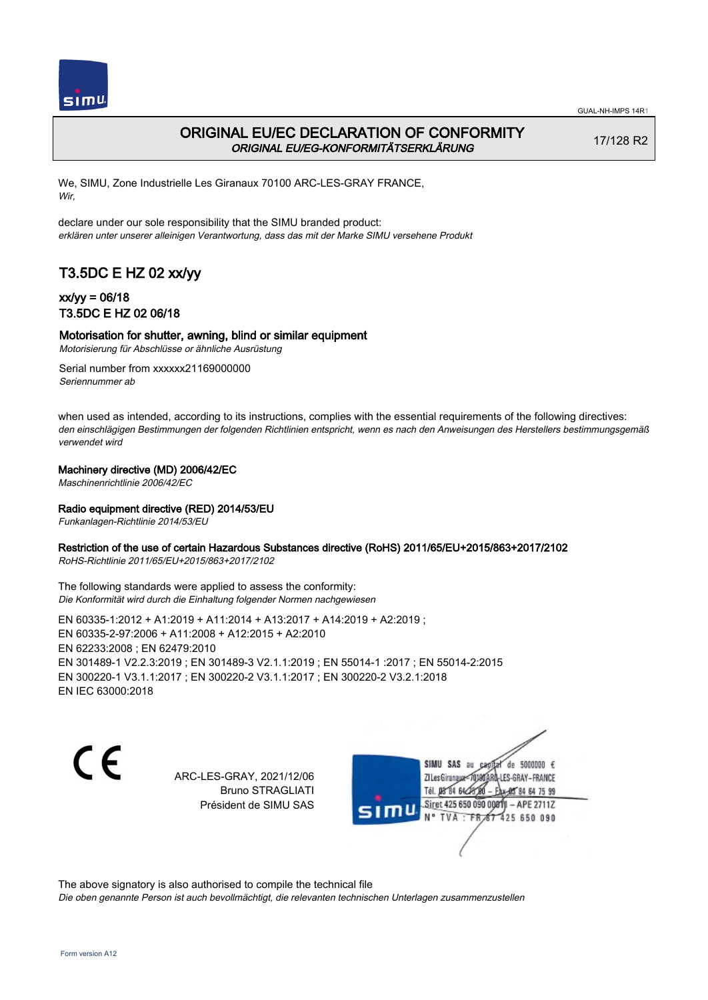

## ORIGINAL EU/EC DECLARATION OF CONFORMITY ORIGINAL EU/EG-KONFORMITÄTSERKLÄRUNG

17/128 R2

We, SIMU, Zone Industrielle Les Giranaux 70100 ARC-LES-GRAY FRANCE, Wir,

declare under our sole responsibility that the SIMU branded product: erklären unter unserer alleinigen Verantwortung, dass das mit der Marke SIMU versehene Produkt

# T3.5DC E HZ 02 xx/yy

### xx/yy = 06/18 T3.5DC E HZ 02 06/18

### Motorisation for shutter, awning, blind or similar equipment

Motorisierung für Abschlüsse or ähnliche Ausrüstung

Serial number from xxxxxx21169000000 Seriennummer ab

when used as intended, according to its instructions, complies with the essential requirements of the following directives: den einschlägigen Bestimmungen der folgenden Richtlinien entspricht, wenn es nach den Anweisungen des Herstellers bestimmungsgemäß verwendet wird

### Machinery directive (MD) 2006/42/EC

Maschinenrichtlinie 2006/42/EC

### Radio equipment directive (RED) 2014/53/EU

Funkanlagen-Richtlinie 2014/53/EU

### Restriction of the use of certain Hazardous Substances directive (RoHS) 2011/65/EU+2015/863+2017/2102

RoHS-Richtlinie 2011/65/EU+2015/863+2017/2102

The following standards were applied to assess the conformity: Die Konformität wird durch die Einhaltung folgender Normen nachgewiesen

EN 60335‑1:2012 + A1:2019 + A11:2014 + A13:2017 + A14:2019 + A2:2019 ; EN 60335‑2‑97:2006 + A11:2008 + A12:2015 + A2:2010 EN 62233:2008 ; EN 62479:2010 EN 301489‑1 V2.2.3:2019 ; EN 301489‑3 V2.1.1:2019 ; EN 55014‑1 :2017 ; EN 55014‑2:2015 EN 300220‑1 V3.1.1:2017 ; EN 300220‑2 V3.1.1:2017 ; EN 300220‑2 V3.2.1:2018 EN IEC 63000:2018

 $\epsilon$ 

ARC-LES-GRAY, 2021/12/06 Bruno STRAGLIATI Président de SIMU SAS

de 5000000  $\epsilon$ SIMU SAS au ZI Les Giranauxe LES-GRAY-FRANCE Tél. 08 84 64 24 95 84 64 75 99 Siret 425 650 090 00811 - APE 2711Z  $TVA$ : FRAT 425 650 090

The above signatory is also authorised to compile the technical file

Die oben genannte Person ist auch bevollmächtigt, die relevanten technischen Unterlagen zusammenzustellen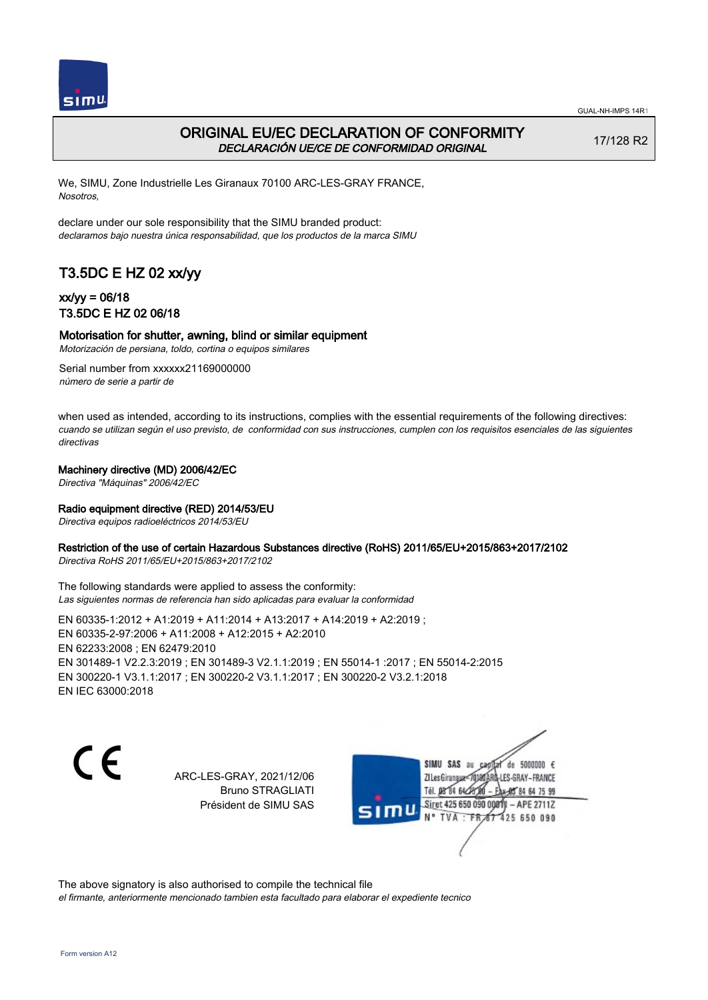

## ORIGINAL EU/EC DECLARATION OF CONFORMITY DECLARACIÓN UE/CE DE CONFORMIDAD ORIGINAL

17/128 R2

We, SIMU, Zone Industrielle Les Giranaux 70100 ARC-LES-GRAY FRANCE, Nosotros,

declare under our sole responsibility that the SIMU branded product: declaramos bajo nuestra única responsabilidad, que los productos de la marca SIMU

# T3.5DC E HZ 02 xx/yy

### xx/yy = 06/18 T3.5DC E HZ 02 06/18

### Motorisation for shutter, awning, blind or similar equipment

Motorización de persiana, toldo, cortina o equipos similares

Serial number from xxxxxx21169000000 número de serie a partir de

when used as intended, according to its instructions, complies with the essential requirements of the following directives: cuando se utilizan según el uso previsto, de conformidad con sus instrucciones, cumplen con los requisitos esenciales de las siguientes directivas

### Machinery directive (MD) 2006/42/EC

Directiva "Máquinas" 2006/42/EC

### Radio equipment directive (RED) 2014/53/EU

Directiva equipos radioeléctricos 2014/53/EU

### Restriction of the use of certain Hazardous Substances directive (RoHS) 2011/65/EU+2015/863+2017/2102

Directiva RoHS 2011/65/EU+2015/863+2017/2102

The following standards were applied to assess the conformity: Las siguientes normas de referencia han sido aplicadas para evaluar la conformidad

EN 60335‑1:2012 + A1:2019 + A11:2014 + A13:2017 + A14:2019 + A2:2019 ; EN 60335‑2‑97:2006 + A11:2008 + A12:2015 + A2:2010 EN 62233:2008 ; EN 62479:2010 EN 301489‑1 V2.2.3:2019 ; EN 301489‑3 V2.1.1:2019 ; EN 55014‑1 :2017 ; EN 55014‑2:2015 EN 300220‑1 V3.1.1:2017 ; EN 300220‑2 V3.1.1:2017 ; EN 300220‑2 V3.2.1:2018 EN IEC 63000:2018

 $\epsilon$ 

ARC-LES-GRAY, 2021/12/06 Bruno STRAGLIATI Président de SIMU SAS

de 5000000  $\epsilon$ SIMU SAS au ZI Les Giranaux< LES-GRAY-FRANCE Tél. 08 84 64 24 95 84 64 75 99 Siret 425 650 090 00811 - APE 2711Z TVA: FR 67 425 650 090

The above signatory is also authorised to compile the technical file el firmante, anteriormente mencionado tambien esta facultado para elaborar el expediente tecnico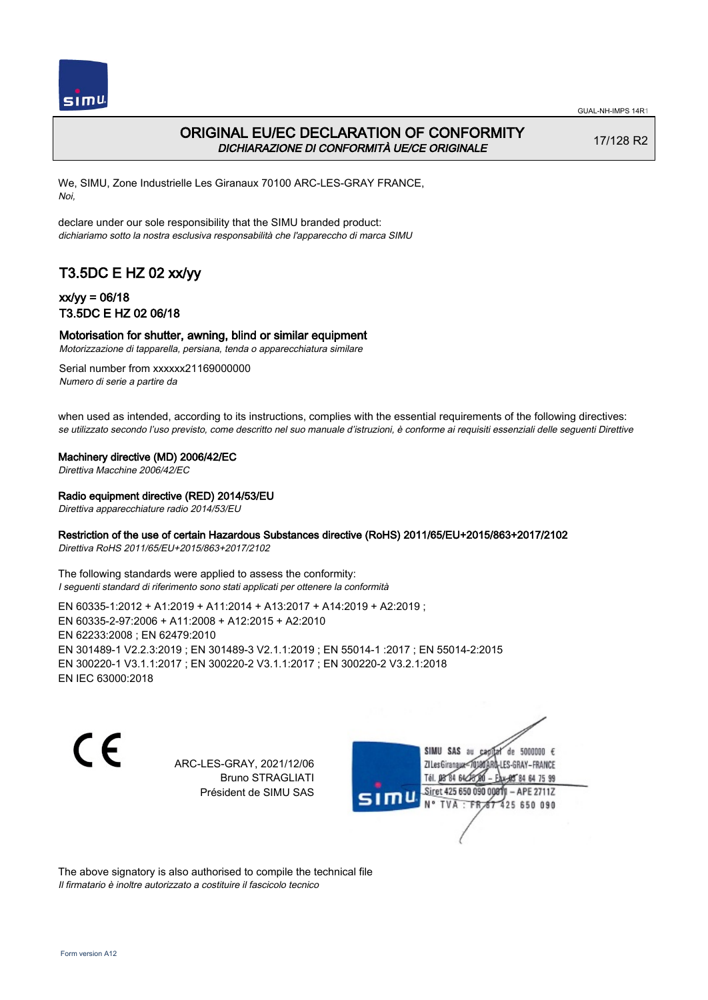

## ORIGINAL EU/EC DECLARATION OF CONFORMITY DICHIARAZIONE DI CONFORMITÀ UE/CE ORIGINALE

17/128 R2

We, SIMU, Zone Industrielle Les Giranaux 70100 ARC-LES-GRAY FRANCE, Noi,

declare under our sole responsibility that the SIMU branded product: dichiariamo sotto la nostra esclusiva responsabilità che l'appareccho di marca SIMU

# T3.5DC E HZ 02 xx/yy

## xx/yy = 06/18 T3.5DC E HZ 02 06/18

### Motorisation for shutter, awning, blind or similar equipment

Motorizzazione di tapparella, persiana, tenda o apparecchiatura similare

Serial number from xxxxxx21169000000 Numero di serie a partire da

when used as intended, according to its instructions, complies with the essential requirements of the following directives: se utilizzato secondo l'uso previsto, come descritto nel suo manuale d'istruzioni, è conforme ai requisiti essenziali delle seguenti Direttive

Machinery directive (MD) 2006/42/EC

Direttiva Macchine 2006/42/EC

#### Radio equipment directive (RED) 2014/53/EU

Direttiva apparecchiature radio 2014/53/EU

### Restriction of the use of certain Hazardous Substances directive (RoHS) 2011/65/EU+2015/863+2017/2102

Direttiva RoHS 2011/65/EU+2015/863+2017/2102

The following standards were applied to assess the conformity: I seguenti standard di riferimento sono stati applicati per ottenere la conformità

EN 60335‑1:2012 + A1:2019 + A11:2014 + A13:2017 + A14:2019 + A2:2019 ; EN 60335‑2‑97:2006 + A11:2008 + A12:2015 + A2:2010 EN 62233:2008 ; EN 62479:2010 EN 301489‑1 V2.2.3:2019 ; EN 301489‑3 V2.1.1:2019 ; EN 55014‑1 :2017 ; EN 55014‑2:2015 EN 300220‑1 V3.1.1:2017 ; EN 300220‑2 V3.1.1:2017 ; EN 300220‑2 V3.2.1:2018 EN IEC 63000:2018

C F

ARC-LES-GRAY, 2021/12/06 Bruno STRAGLIATI Président de SIMU SAS

de 5000000  $\epsilon$ SIMU SAS au ZI Les Giranaux< ES-GRAY-FRANCE Tél. 08 84 64 2 64 75 99 Siret 425 650 090 00811  $-$  APF 27117 125 650 090

The above signatory is also authorised to compile the technical file Il firmatario è inoltre autorizzato a costituire il fascicolo tecnico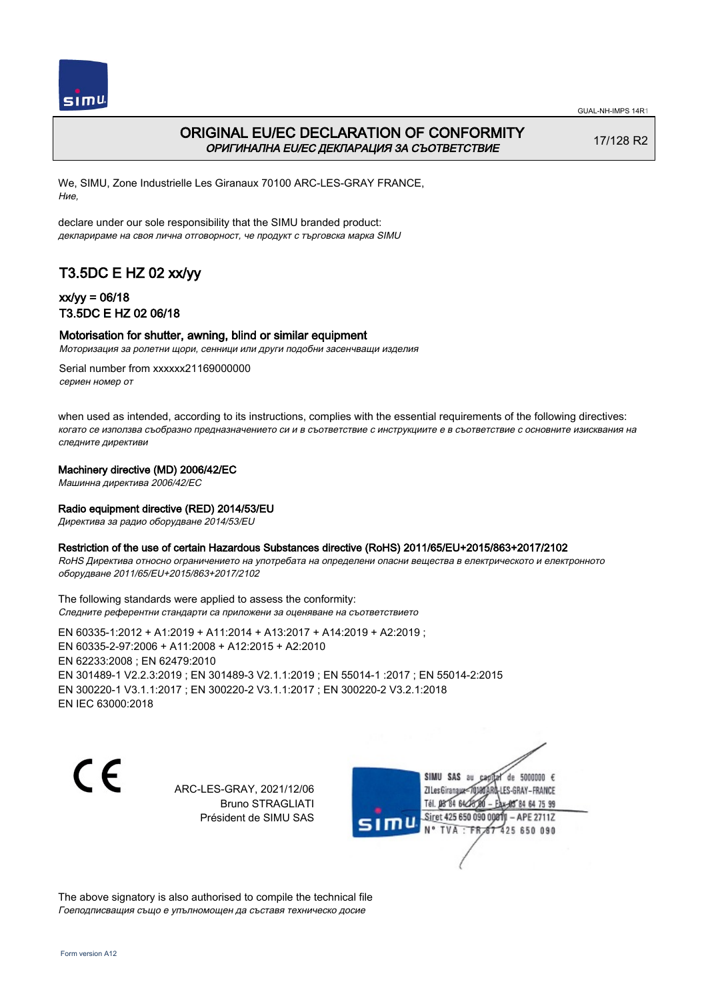

## ORIGINAL EU/EC DECLARATION OF CONFORMITY ОРИГИНАЛНА EU/EC ДЕКЛАРАЦИЯ ЗА СЪОТВЕТСТВИЕ

17/128 R2

We, SIMU, Zone Industrielle Les Giranaux 70100 ARC-LES-GRAY FRANCE, Ние,

declare under our sole responsibility that the SIMU branded product: декларираме на своя лична отговорност, че продукт с търговска марка SIMU

# T3.5DC E HZ 02 xx/yy

### xx/yy = 06/18 T3.5DC E HZ 02 06/18

### Motorisation for shutter, awning, blind or similar equipment

Моторизация за ролетни щори, сенници или други подобни засенчващи изделия

Serial number from xxxxxx21169000000 сериен номер от

when used as intended, according to its instructions, complies with the essential requirements of the following directives: когато се използва съобразно предназначението си и в съответствие с инструкциите е в съответствие с основните изисквания на следните директиви

### Machinery directive (MD) 2006/42/EC

Машинна директива 2006/42/EC

#### Radio equipment directive (RED) 2014/53/EU

Директива за радио оборудване 2014/53/EU

#### Restriction of the use of certain Hazardous Substances directive (RoHS) 2011/65/EU+2015/863+2017/2102

RoHS Директива относно ограничението на употребата на определени опасни вещества в електрическото и електронното оборудване 2011/65/EU+2015/863+2017/2102

The following standards were applied to assess the conformity: Следните референтни стандарти са приложени за оценяване на съответствието

EN 60335‑1:2012 + A1:2019 + A11:2014 + A13:2017 + A14:2019 + A2:2019 ; EN 60335‑2‑97:2006 + A11:2008 + A12:2015 + A2:2010 EN 62233:2008 ; EN 62479:2010 EN 301489‑1 V2.2.3:2019 ; EN 301489‑3 V2.1.1:2019 ; EN 55014‑1 :2017 ; EN 55014‑2:2015 EN 300220‑1 V3.1.1:2017 ; EN 300220‑2 V3.1.1:2017 ; EN 300220‑2 V3.2.1:2018 EN IEC 63000:2018

CE

ARC-LES-GRAY, 2021/12/06 Bruno STRAGLIATI Président de SIMU SAS



The above signatory is also authorised to compile the technical file Гоеподписващия също е упълномощен да съставя техническо досие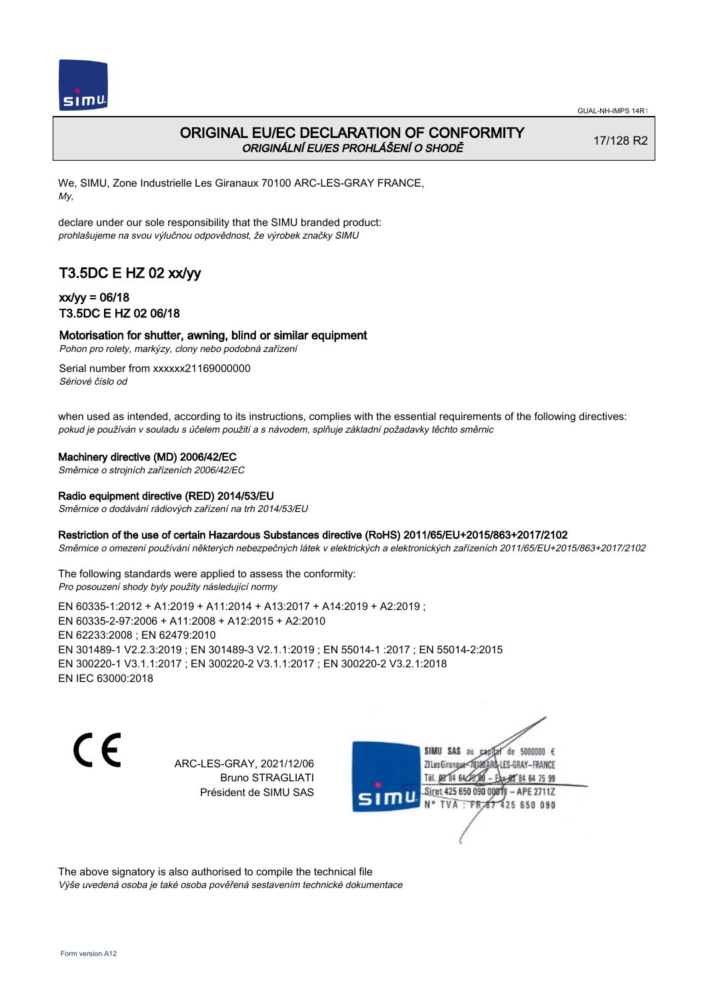

## ORIGINAL EU/EC DECLARATION OF CONFORMITY ORIGINÁLNÍ EU/ES PROHLÁŠENÍ O SHODĚ

17/128 R2

We, SIMU, Zone Industrielle Les Giranaux 70100 ARC-LES-GRAY FRANCE, My,

declare under our sole responsibility that the SIMU branded product: prohlašujeme na svou výlučnou odpovědnost, že výrobek značky SIMU

# T3.5DC E HZ 02 xx/yy

## xx/yy = 06/18 T3.5DC E HZ 02 06/18

### Motorisation for shutter, awning, blind or similar equipment

Pohon pro rolety, markýzy, clony nebo podobná zařízení

Serial number from xxxxxx21169000000 Sériové číslo od

when used as intended, according to its instructions, complies with the essential requirements of the following directives: pokud je používán v souladu s účelem použití a s návodem, splňuje základní požadavky těchto směrnic

### Machinery directive (MD) 2006/42/EC

Směrnice o strojních zařízeních 2006/42/EC

### Radio equipment directive (RED) 2014/53/EU

Směrnice o dodávání rádiových zařízení na trh 2014/53/EU

### Restriction of the use of certain Hazardous Substances directive (RoHS) 2011/65/EU+2015/863+2017/2102

Směrnice o omezení používání některých nebezpečných látek v elektrických a elektronických zařízeních 2011/65/EU+2015/863+2017/2102

The following standards were applied to assess the conformity: Pro posouzení shody byly použity následující normy

EN 60335‑1:2012 + A1:2019 + A11:2014 + A13:2017 + A14:2019 + A2:2019 ; EN 60335‑2‑97:2006 + A11:2008 + A12:2015 + A2:2010 EN 62233:2008 ; EN 62479:2010 EN 301489‑1 V2.2.3:2019 ; EN 301489‑3 V2.1.1:2019 ; EN 55014‑1 :2017 ; EN 55014‑2:2015 EN 300220‑1 V3.1.1:2017 ; EN 300220‑2 V3.1.1:2017 ; EN 300220‑2 V3.2.1:2018 EN IEC 63000:2018

 $\epsilon$ 

ARC-LES-GRAY, 2021/12/06 Bruno STRAGLIATI Président de SIMU SAS

de 5000000  $\epsilon$ SIMU SAS au ZI Les Giranaux</D LES-GRAY-FRANCE Tél. 08 R4 64 2 64 75 99 Siret 425 650 090 00811  $-$  APF 27117 125 650 090

The above signatory is also authorised to compile the technical file Výše uvedená osoba je také osoba pověřená sestavením technické dokumentace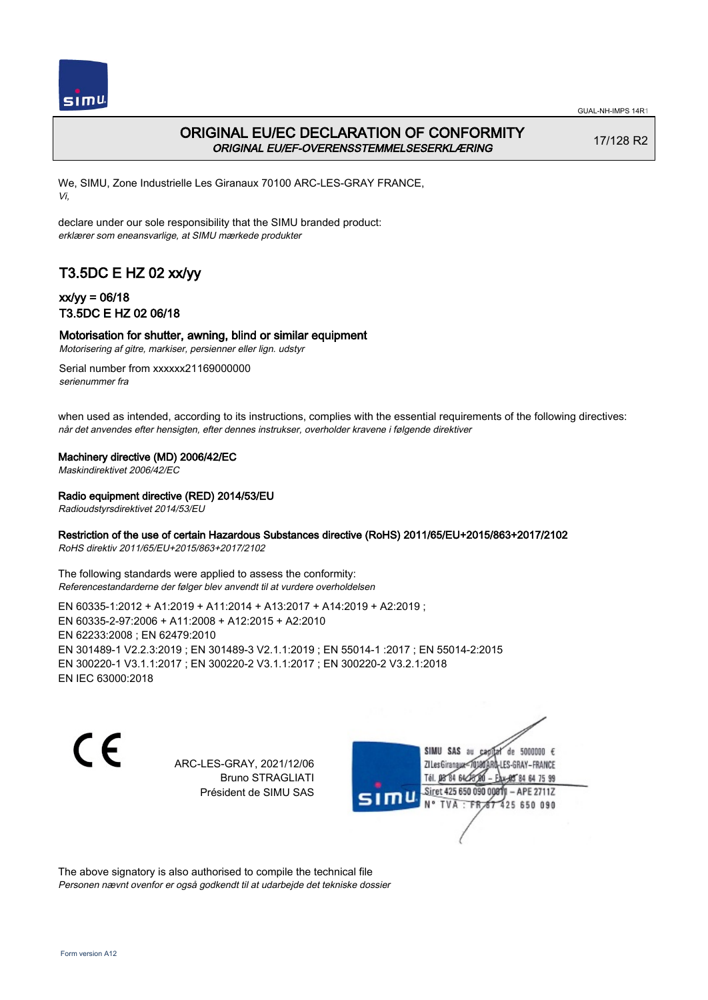

## ORIGINAL EU/EC DECLARATION OF CONFORMITY ORIGINAL EU/EF-OVERENSSTEMMELSESERKLÆRING

17/128 R2

We, SIMU, Zone Industrielle Les Giranaux 70100 ARC-LES-GRAY FRANCE, Vi,

declare under our sole responsibility that the SIMU branded product: erklærer som eneansvarlige, at SIMU mærkede produkter

# T3.5DC E HZ 02 xx/yy

## xx/yy = 06/18 T3.5DC E HZ 02 06/18

### Motorisation for shutter, awning, blind or similar equipment

Motorisering af gitre, markiser, persienner eller lign. udstyr

Serial number from xxxxxx21169000000 serienummer fra

when used as intended, according to its instructions, complies with the essential requirements of the following directives: når det anvendes efter hensigten, efter dennes instrukser, overholder kravene i følgende direktiver

Machinery directive (MD) 2006/42/EC

Maskindirektivet 2006/42/EC

Radio equipment directive (RED) 2014/53/EU

Radioudstyrsdirektivet 2014/53/EU

### Restriction of the use of certain Hazardous Substances directive (RoHS) 2011/65/EU+2015/863+2017/2102

RoHS direktiv 2011/65/EU+2015/863+2017/2102

The following standards were applied to assess the conformity: Referencestandarderne der følger blev anvendt til at vurdere overholdelsen

EN 60335‑1:2012 + A1:2019 + A11:2014 + A13:2017 + A14:2019 + A2:2019 ; EN 60335‑2‑97:2006 + A11:2008 + A12:2015 + A2:2010 EN 62233:2008 ; EN 62479:2010 EN 301489‑1 V2.2.3:2019 ; EN 301489‑3 V2.1.1:2019 ; EN 55014‑1 :2017 ; EN 55014‑2:2015 EN 300220‑1 V3.1.1:2017 ; EN 300220‑2 V3.1.1:2017 ; EN 300220‑2 V3.2.1:2018 EN IEC 63000:2018

CE

ARC-LES-GRAY, 2021/12/06 Bruno STRAGLIATI Président de SIMU SAS

de 5000000  $\epsilon$ SIMU SAS au ZI Les Giranaux< LES-GRAY-FRANCE Tél. 08 84 64 2 64 75 99 Siret 425 650 090 0081  $-$  APF 27117 125 650 090

The above signatory is also authorised to compile the technical file Personen nævnt ovenfor er også godkendt til at udarbejde det tekniske dossier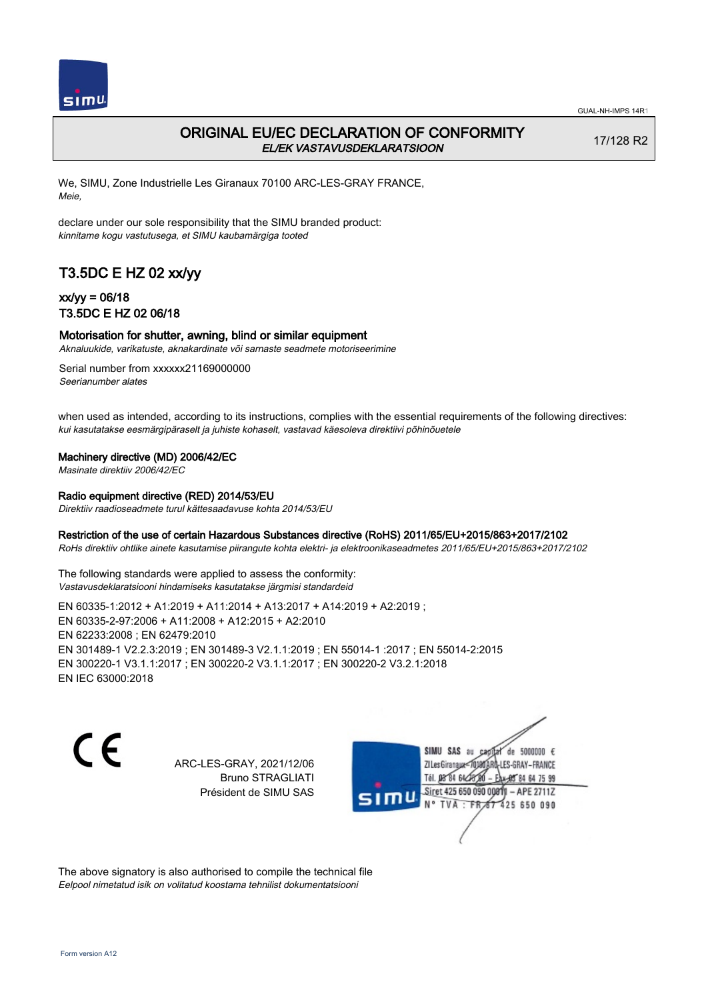

## ORIGINAL EU/EC DECLARATION OF CONFORMITY EL/EK VASTAVUSDEKLARATSIOON

17/128 R2

We, SIMU, Zone Industrielle Les Giranaux 70100 ARC-LES-GRAY FRANCE, Meie,

declare under our sole responsibility that the SIMU branded product: kinnitame kogu vastutusega, et SIMU kaubamärgiga tooted

# T3.5DC E HZ 02 xx/yy

## xx/yy = 06/18 T3.5DC E HZ 02 06/18

### Motorisation for shutter, awning, blind or similar equipment

Aknaluukide, varikatuste, aknakardinate või sarnaste seadmete motoriseerimine

Serial number from xxxxxx21169000000 Seerianumber alates

when used as intended, according to its instructions, complies with the essential requirements of the following directives: kui kasutatakse eesmärgipäraselt ja juhiste kohaselt, vastavad käesoleva direktiivi põhinõuetele

#### Machinery directive (MD) 2006/42/EC

Masinate direktiiv 2006/42/EC

#### Radio equipment directive (RED) 2014/53/EU

Direktiiv raadioseadmete turul kättesaadavuse kohta 2014/53/EU

#### Restriction of the use of certain Hazardous Substances directive (RoHS) 2011/65/EU+2015/863+2017/2102

RoHs direktiiv ohtlike ainete kasutamise piirangute kohta elektri- ja elektroonikaseadmetes 2011/65/EU+2015/863+2017/2102

The following standards were applied to assess the conformity: Vastavusdeklaratsiooni hindamiseks kasutatakse järgmisi standardeid

EN 60335‑1:2012 + A1:2019 + A11:2014 + A13:2017 + A14:2019 + A2:2019 ; EN 60335‑2‑97:2006 + A11:2008 + A12:2015 + A2:2010 EN 62233:2008 ; EN 62479:2010 EN 301489‑1 V2.2.3:2019 ; EN 301489‑3 V2.1.1:2019 ; EN 55014‑1 :2017 ; EN 55014‑2:2015 EN 300220‑1 V3.1.1:2017 ; EN 300220‑2 V3.1.1:2017 ; EN 300220‑2 V3.2.1:2018 EN IEC 63000:2018

 $\epsilon$ 

ARC-LES-GRAY, 2021/12/06 Bruno STRAGLIATI Président de SIMU SAS

de 5000000  $\epsilon$ SIMU SAS au ZI Les Giranaux<sup>2</sup> ES-GRAY-FRANCE Tél. 08 84 64 2 64 75 99 Siret 425 650 090 00811  $-$  APF 27117 125 650 090

The above signatory is also authorised to compile the technical file Eelpool nimetatud isik on volitatud koostama tehnilist dokumentatsiooni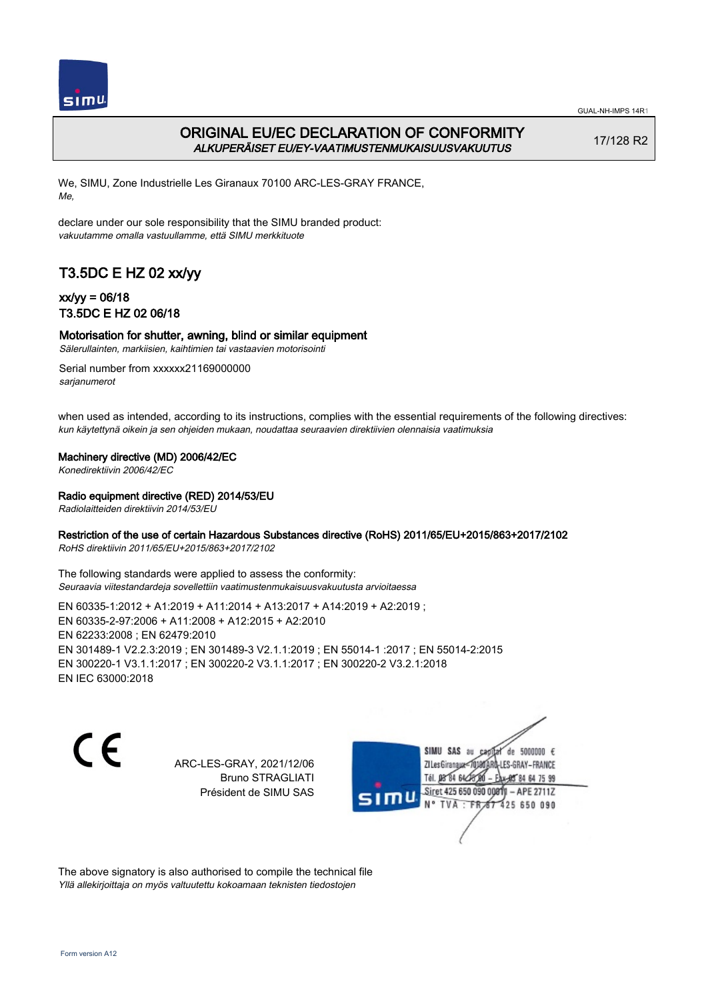

## ORIGINAL EU/EC DECLARATION OF CONFORMITY ALKUPERÄISET EU/EY-VAATIMUSTENMUKAISUUSVAKUUTUS

17/128 R2

We, SIMU, Zone Industrielle Les Giranaux 70100 ARC-LES-GRAY FRANCE, Me,

declare under our sole responsibility that the SIMU branded product: vakuutamme omalla vastuullamme, että SIMU merkkituote

# T3.5DC E HZ 02 xx/yy

## xx/yy = 06/18 T3.5DC E HZ 02 06/18

## Motorisation for shutter, awning, blind or similar equipment

Sälerullainten, markiisien, kaihtimien tai vastaavien motorisointi

Serial number from xxxxxx21169000000 sarianumerot

when used as intended, according to its instructions, complies with the essential requirements of the following directives: kun käytettynä oikein ja sen ohjeiden mukaan, noudattaa seuraavien direktiivien olennaisia vaatimuksia

### Machinery directive (MD) 2006/42/EC

Konedirektiivin 2006/42/EC

### Radio equipment directive (RED) 2014/53/EU

Radiolaitteiden direktiivin 2014/53/EU

### Restriction of the use of certain Hazardous Substances directive (RoHS) 2011/65/EU+2015/863+2017/2102

RoHS direktiivin 2011/65/EU+2015/863+2017/2102

The following standards were applied to assess the conformity: Seuraavia viitestandardeja sovellettiin vaatimustenmukaisuusvakuutusta arvioitaessa

EN 60335‑1:2012 + A1:2019 + A11:2014 + A13:2017 + A14:2019 + A2:2019 ; EN 60335‑2‑97:2006 + A11:2008 + A12:2015 + A2:2010 EN 62233:2008 ; EN 62479:2010 EN 301489‑1 V2.2.3:2019 ; EN 301489‑3 V2.1.1:2019 ; EN 55014‑1 :2017 ; EN 55014‑2:2015 EN 300220‑1 V3.1.1:2017 ; EN 300220‑2 V3.1.1:2017 ; EN 300220‑2 V3.2.1:2018 EN IEC 63000:2018

 $\epsilon$ 

ARC-LES-GRAY, 2021/12/06 Bruno STRAGLIATI Président de SIMU SAS

SIMU SAS au de 5000000  $\epsilon$ ZI Les Giranaux< LES-GRAY-FRANCE Tél. 08 84 64 2 64 75 99 Siret 425 650 090 00811  $-$  APF 27117 125 650 090

The above signatory is also authorised to compile the technical file Yllä allekirjoittaja on myös valtuutettu kokoamaan teknisten tiedostojen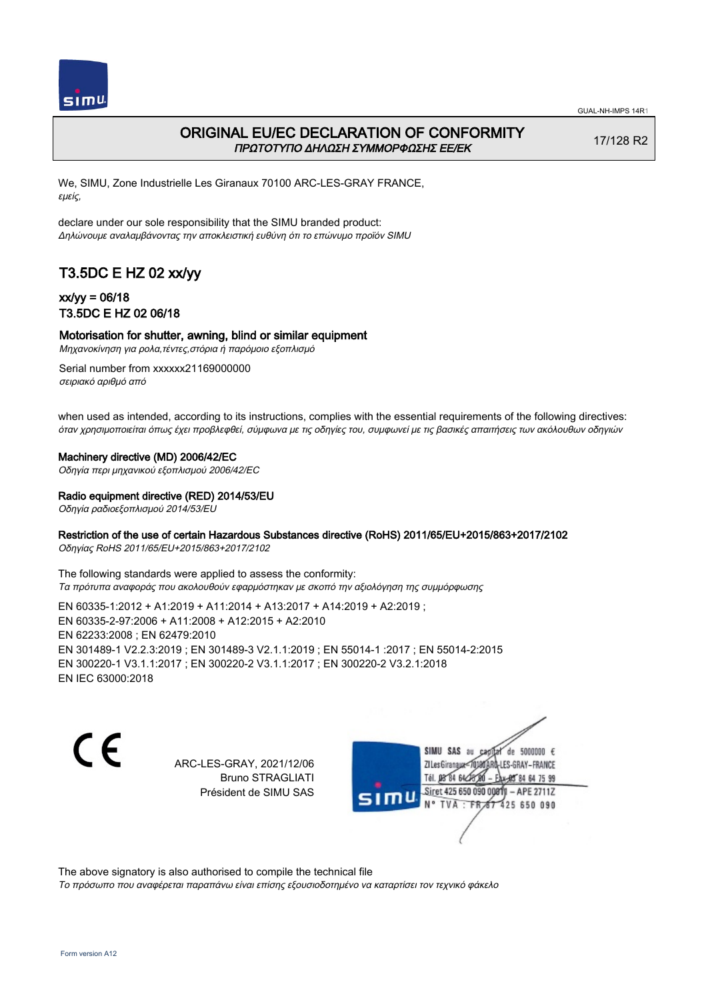

## ORIGINAL EU/EC DECLARATION OF CONFORMITY ΠΡΩΤΟΤΥΠΟ ΔΗΛΩΣΗ ΣΥΜΜΟΡΦΩΣΗΣ ΕΕ/EK

17/128 R2

We, SIMU, Zone Industrielle Les Giranaux 70100 ARC-LES-GRAY FRANCE, εμείς,

declare under our sole responsibility that the SIMU branded product: Δηλώνουμε αναλαμβάνοντας την αποκλειστική ευθύνη ότι το επώνυμο προϊόν SIMU

# T3.5DC E HZ 02 xx/yy

### xx/yy = 06/18 T3.5DC E HZ 02 06/18

### Motorisation for shutter, awning, blind or similar equipment

Μηχανοκίνηση για ρολα,τέντες,στόρια ή παρόμοιο εξοπλισμό

Serial number from xxxxxx21169000000 σειριακό αριθμό από

when used as intended, according to its instructions, complies with the essential requirements of the following directives: όταν χρησιμοποιείται όπως έχει προβλεφθεί, σύμφωνα με τις οδηγίες του, συμφωνεί με τις βασικές απαιτήσεις των ακόλουθων οδηγιών

#### Machinery directive (MD) 2006/42/EC

Οδηγία περι μηχανικού εξοπλισμού 2006/42/EC

Radio equipment directive (RED) 2014/53/EU

Οδηγία ραδιοεξοπλισμού 2014/53/EU

### Restriction of the use of certain Hazardous Substances directive (RoHS) 2011/65/EU+2015/863+2017/2102

Οδηγίας RoHS 2011/65/EU+2015/863+2017/2102

The following standards were applied to assess the conformity: Τα πρότυπα αναφοράς που ακολουθούν εφαρμόστηκαν με σκοπό την αξιολόγηση της συμμόρφωσης

EN 60335‑1:2012 + A1:2019 + A11:2014 + A13:2017 + A14:2019 + A2:2019 ; EN 60335‑2‑97:2006 + A11:2008 + A12:2015 + A2:2010 EN 62233:2008 ; EN 62479:2010 EN 301489‑1 V2.2.3:2019 ; EN 301489‑3 V2.1.1:2019 ; EN 55014‑1 :2017 ; EN 55014‑2:2015 EN 300220‑1 V3.1.1:2017 ; EN 300220‑2 V3.1.1:2017 ; EN 300220‑2 V3.2.1:2018 EN IEC 63000:2018

C F

ARC-LES-GRAY, 2021/12/06 Bruno STRAGLIATI Président de SIMU SAS

de 5000000  $\epsilon$ SIMU SAS au ZI Les Giranaux-70180 LES-GRAY-FRANCE Tél. 08 84 64 28 2 64 75 99 Siret 425 650 090 00811  $-$  APE 2711Z 125 650 090

The above signatory is also authorised to compile the technical file

Το πρόσωπο που αναφέρεται παραπάνω είναι επίσης εξουσιοδοτημένο να καταρτίσει τον τεχνικό φάκελο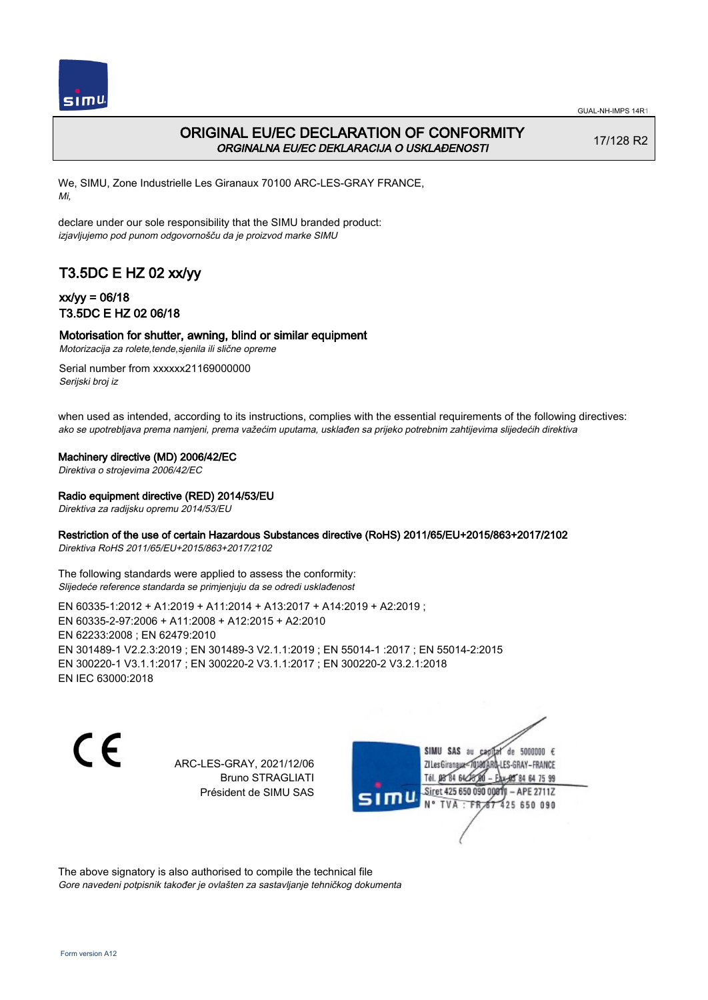

## ORIGINAL EU/EC DECLARATION OF CONFORMITY ORGINALNA EU/EC DEKLARACIJA O USKLAĐENOSTI

17/128 R2

We, SIMU, Zone Industrielle Les Giranaux 70100 ARC-LES-GRAY FRANCE, Mi,

declare under our sole responsibility that the SIMU branded product: izjavljujemo pod punom odgovornošču da je proizvod marke SIMU

# T3.5DC E HZ 02 xx/yy

## xx/yy = 06/18 T3.5DC E HZ 02 06/18

### Motorisation for shutter, awning, blind or similar equipment

Motorizacija za rolete,tende,sjenila ili slične opreme

Serial number from xxxxxx21169000000 Serijski broj iz

when used as intended, according to its instructions, complies with the essential requirements of the following directives: ako se upotrebljava prema namjeni, prema važećim uputama, usklađen sa prijeko potrebnim zahtijevima slijedećih direktiva

Machinery directive (MD) 2006/42/EC

Direktiva o strojevima 2006/42/EC

Radio equipment directive (RED) 2014/53/EU

Direktiva za radijsku opremu 2014/53/EU

### Restriction of the use of certain Hazardous Substances directive (RoHS) 2011/65/EU+2015/863+2017/2102

Direktiva RoHS 2011/65/EU+2015/863+2017/2102

The following standards were applied to assess the conformity: Slijedeće reference standarda se primjenjuju da se odredi usklađenost

EN 60335‑1:2012 + A1:2019 + A11:2014 + A13:2017 + A14:2019 + A2:2019 ; EN 60335‑2‑97:2006 + A11:2008 + A12:2015 + A2:2010 EN 62233:2008 ; EN 62479:2010 EN 301489‑1 V2.2.3:2019 ; EN 301489‑3 V2.1.1:2019 ; EN 55014‑1 :2017 ; EN 55014‑2:2015 EN 300220‑1 V3.1.1:2017 ; EN 300220‑2 V3.1.1:2017 ; EN 300220‑2 V3.2.1:2018 EN IEC 63000:2018

C F

ARC-LES-GRAY, 2021/12/06 Bruno STRAGLIATI Président de SIMU SAS

de 5000000  $\epsilon$ SIMU SAS au ZI Les Giranaux</D LES-GRAY-FRANCE Tél. 08 R4 64 2 64 75 99 Siret 425 650 090 0081  $-$  APF 27117 125 650 090

The above signatory is also authorised to compile the technical file Gore navedeni potpisnik također je ovlašten za sastavljanje tehničkog dokumenta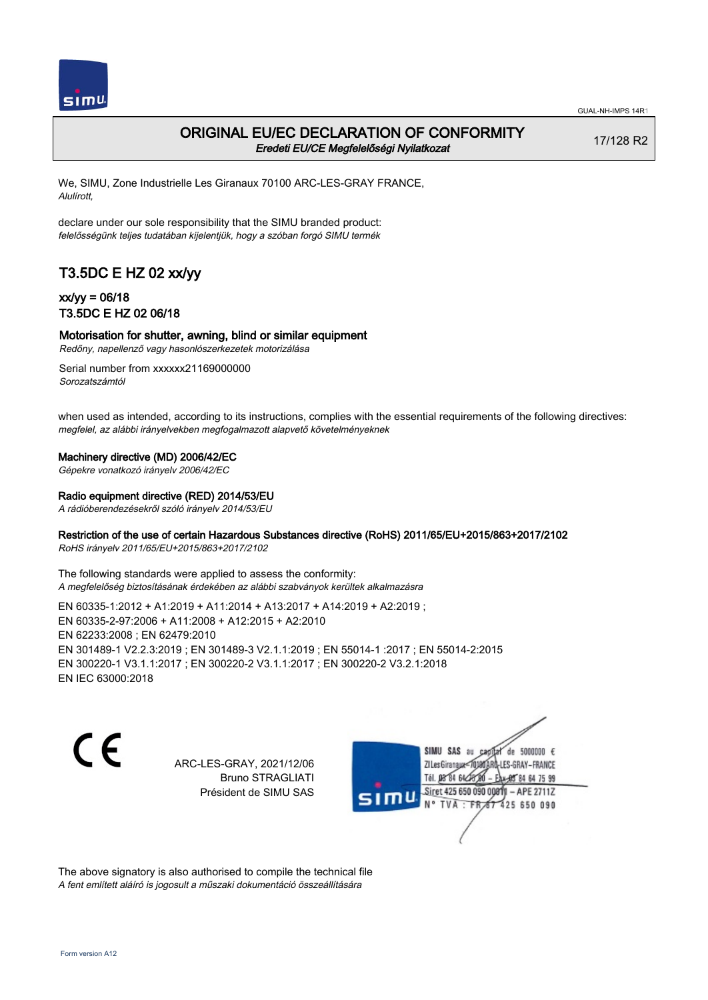

## ORIGINAL EU/EC DECLARATION OF CONFORMITY Eredeti EU/CE Megfelelőségi Nyilatkozat

17/128 R2

We, SIMU, Zone Industrielle Les Giranaux 70100 ARC-LES-GRAY FRANCE, Alulírott,

declare under our sole responsibility that the SIMU branded product: felelősségünk teljes tudatában kijelentjük, hogy a szóban forgó SIMU termék

# T3.5DC E HZ 02 xx/yy

## xx/yy = 06/18 T3.5DC E HZ 02 06/18

## Motorisation for shutter, awning, blind or similar equipment

Redőny, napellenző vagy hasonlószerkezetek motorizálása

Serial number from xxxxxx21169000000 Sorozatszámtól

when used as intended, according to its instructions, complies with the essential requirements of the following directives: megfelel, az alábbi irányelvekben megfogalmazott alapvető követelményeknek

### Machinery directive (MD) 2006/42/EC

Gépekre vonatkozó irányelv 2006/42/EC

### Radio equipment directive (RED) 2014/53/EU

A rádióberendezésekről szóló irányelv 2014/53/EU

### Restriction of the use of certain Hazardous Substances directive (RoHS) 2011/65/EU+2015/863+2017/2102

RoHS irányelv 2011/65/EU+2015/863+2017/2102

The following standards were applied to assess the conformity: A megfelelőség biztosításának érdekében az alábbi szabványok kerültek alkalmazásra

EN 60335‑1:2012 + A1:2019 + A11:2014 + A13:2017 + A14:2019 + A2:2019 ; EN 60335‑2‑97:2006 + A11:2008 + A12:2015 + A2:2010 EN 62233:2008 ; EN 62479:2010 EN 301489‑1 V2.2.3:2019 ; EN 301489‑3 V2.1.1:2019 ; EN 55014‑1 :2017 ; EN 55014‑2:2015 EN 300220‑1 V3.1.1:2017 ; EN 300220‑2 V3.1.1:2017 ; EN 300220‑2 V3.2.1:2018 EN IEC 63000:2018

C F

ARC-LES-GRAY, 2021/12/06 Bruno STRAGLIATI Président de SIMU SAS

de 5000000  $\epsilon$ SIMU SAS au ZI Les Giranaux<7 LES-GRAY-FRANCE Tél. 08 R4 64 2 64 75 99 Siret 425 650 090 00811  $-$  APF 27117 125 650 090

The above signatory is also authorised to compile the technical file A fent említett aláíró is jogosult a műszaki dokumentáció összeállítására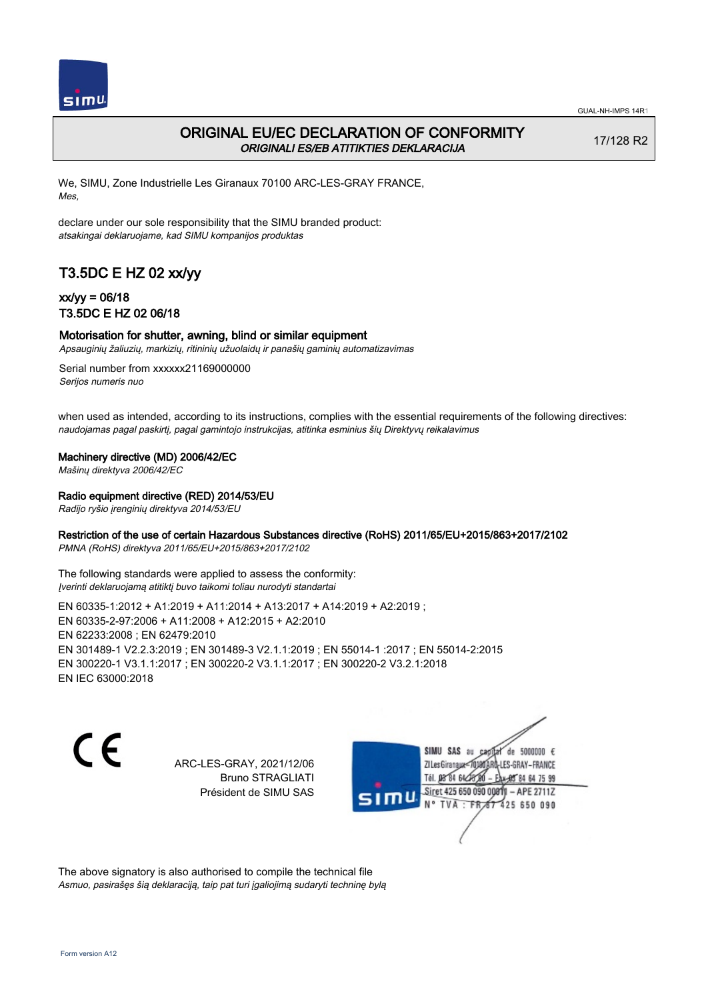

## ORIGINAL EU/EC DECLARATION OF CONFORMITY ORIGINALI ES/EB ATITIKTIES DEKLARACIJA

17/128 R2

We, SIMU, Zone Industrielle Les Giranaux 70100 ARC-LES-GRAY FRANCE, Mes,

declare under our sole responsibility that the SIMU branded product: atsakingai deklaruojame, kad SIMU kompanijos produktas

# T3.5DC E HZ 02 xx/yy

## xx/yy = 06/18 T3.5DC E HZ 02 06/18

### Motorisation for shutter, awning, blind or similar equipment

Apsauginių žaliuzių, markizių, ritininių užuolaidų ir panašių gaminių automatizavimas

Serial number from xxxxxx21169000000 Serijos numeris nuo

when used as intended, according to its instructions, complies with the essential requirements of the following directives: naudojamas pagal paskirtį, pagal gamintojo instrukcijas, atitinka esminius šių Direktyvų reikalavimus

Machinery directive (MD) 2006/42/EC

Mašinų direktyva 2006/42/EC

### Radio equipment directive (RED) 2014/53/EU

Radijo ryšio įrenginių direktyva 2014/53/EU

### Restriction of the use of certain Hazardous Substances directive (RoHS) 2011/65/EU+2015/863+2017/2102

PMNA (RoHS) direktyva 2011/65/EU+2015/863+2017/2102

The following standards were applied to assess the conformity: Įverinti deklaruojamą atitiktį buvo taikomi toliau nurodyti standartai

EN 60335‑1:2012 + A1:2019 + A11:2014 + A13:2017 + A14:2019 + A2:2019 ; EN 60335‑2‑97:2006 + A11:2008 + A12:2015 + A2:2010 EN 62233:2008 ; EN 62479:2010 EN 301489‑1 V2.2.3:2019 ; EN 301489‑3 V2.1.1:2019 ; EN 55014‑1 :2017 ; EN 55014‑2:2015 EN 300220‑1 V3.1.1:2017 ; EN 300220‑2 V3.1.1:2017 ; EN 300220‑2 V3.2.1:2018 EN IEC 63000:2018

C F

ARC-LES-GRAY, 2021/12/06 Bruno STRAGLIATI Président de SIMU SAS

SIMU SAS au de 5000000  $\epsilon$ ZI Les Giranaux-70180 LES-GRAY-FRANCE Tél. 08 R4 64 24 64 75 99 Siret 425 650 090 0081  $-$  APF 27117 **TVA FR** 125 650 090

The above signatory is also authorised to compile the technical file Asmuo, pasirašęs šią deklaraciją, taip pat turi įgaliojimą sudaryti techninę bylą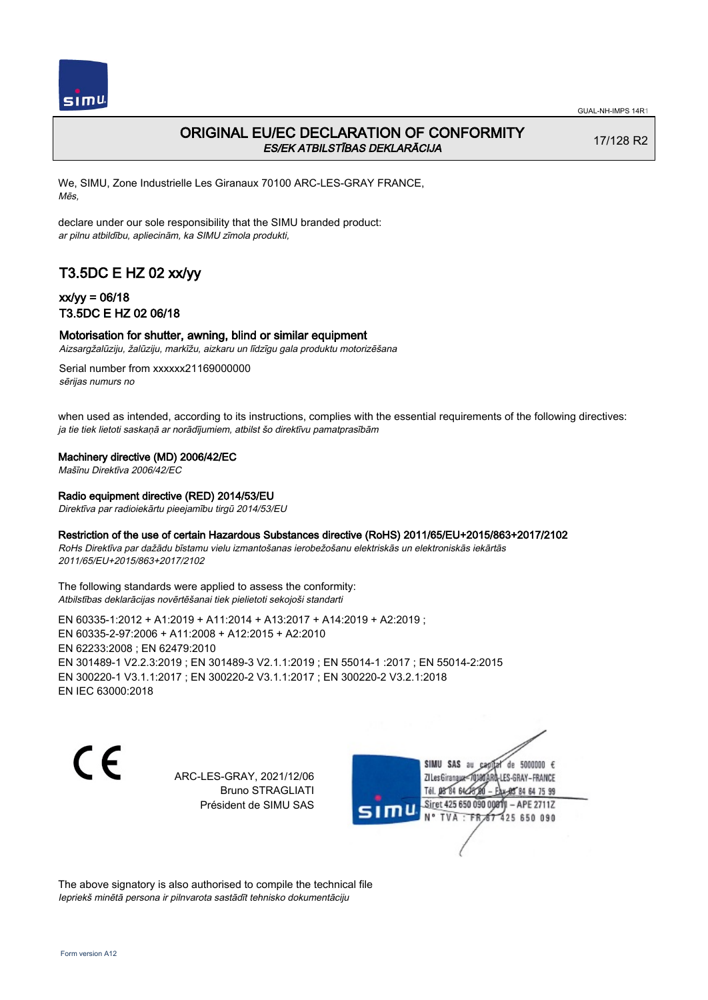

## ORIGINAL EU/EC DECLARATION OF CONFORMITY ES/EK ATBILSTĪBAS DEKLARĀCIJA

17/128 R2

We, SIMU, Zone Industrielle Les Giranaux 70100 ARC-LES-GRAY FRANCE, Mēs,

declare under our sole responsibility that the SIMU branded product: ar pilnu atbildību, apliecinām, ka SIMU zīmola produkti,

# T3.5DC E HZ 02 xx/yy

### xx/yy = 06/18 T3.5DC E HZ 02 06/18

### Motorisation for shutter, awning, blind or similar equipment

Aizsargžalūziju, žalūziju, markīžu, aizkaru un līdzīgu gala produktu motorizēšana

Serial number from xxxxxx21169000000 sērijas numurs no

when used as intended, according to its instructions, complies with the essential requirements of the following directives: ja tie tiek lietoti saskaņā ar norādījumiem, atbilst šo direktīvu pamatprasībām

#### Machinery directive (MD) 2006/42/EC

Mašīnu Direktīva 2006/42/EC

#### Radio equipment directive (RED) 2014/53/EU

Direktīva par radioiekārtu pieejamību tirgū 2014/53/EU

### Restriction of the use of certain Hazardous Substances directive (RoHS) 2011/65/EU+2015/863+2017/2102

RoHs Direktīva par dažādu bīstamu vielu izmantošanas ierobežošanu elektriskās un elektroniskās iekārtās 2011/65/EU+2015/863+2017/2102

The following standards were applied to assess the conformity: Atbilstības deklarācijas novērtēšanai tiek pielietoti sekojoši standarti

EN 60335‑1:2012 + A1:2019 + A11:2014 + A13:2017 + A14:2019 + A2:2019 ; EN 60335‑2‑97:2006 + A11:2008 + A12:2015 + A2:2010 EN 62233:2008 ; EN 62479:2010 EN 301489‑1 V2.2.3:2019 ; EN 301489‑3 V2.1.1:2019 ; EN 55014‑1 :2017 ; EN 55014‑2:2015 EN 300220‑1 V3.1.1:2017 ; EN 300220‑2 V3.1.1:2017 ; EN 300220‑2 V3.2.1:2018 EN IEC 63000:2018

 $\epsilon$ 

ARC-LES-GRAY, 2021/12/06 Bruno STRAGLIATI Président de SIMU SAS



The above signatory is also authorised to compile the technical file Iepriekš minētā persona ir pilnvarota sastādīt tehnisko dokumentāciju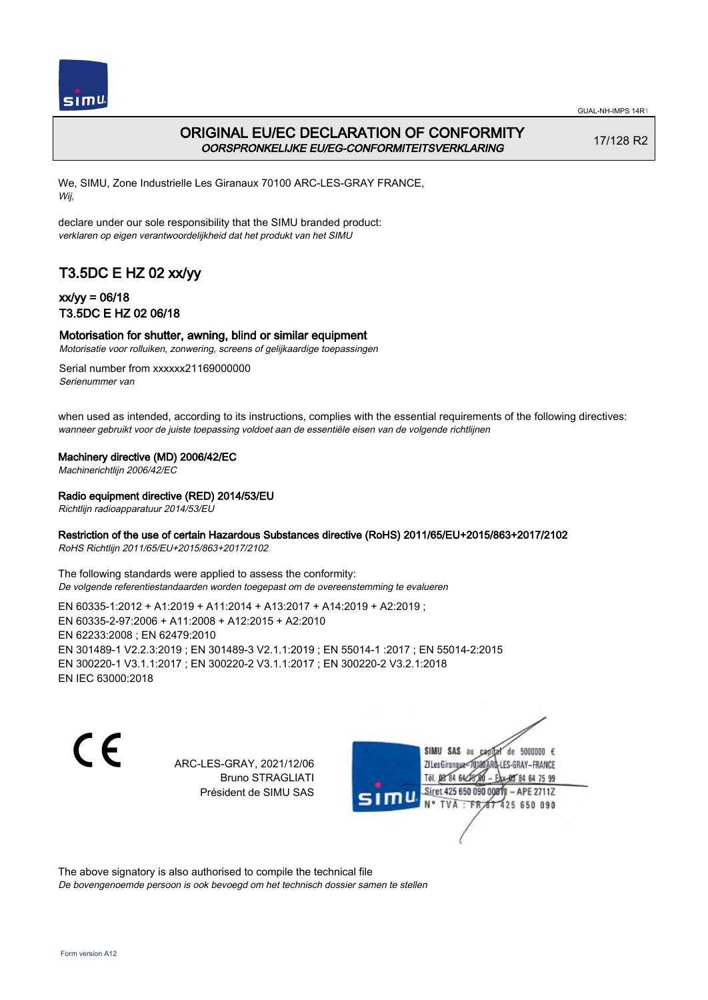

## ORIGINAL EU/EC DECLARATION OF CONFORMITY OORSPRONKELIJKE EU/EG-CONFORMITEITSVERKLARING

17/128 R2

We, SIMU, Zone Industrielle Les Giranaux 70100 ARC-LES-GRAY FRANCE, Wij,

declare under our sole responsibility that the SIMU branded product: verklaren op eigen verantwoordelijkheid dat het produkt van het SIMU

# T3.5DC E HZ 02 xx/yy

## xx/yy = 06/18 T3.5DC E HZ 02 06/18

### Motorisation for shutter, awning, blind or similar equipment

Motorisatie voor rolluiken, zonwering, screens of gelijkaardige toepassingen

Serial number from xxxxxx21169000000 Serienummer van

when used as intended, according to its instructions, complies with the essential requirements of the following directives: wanneer gebruikt voor de juiste toepassing voldoet aan de essentiële eisen van de volgende richtlijnen

### Machinery directive (MD) 2006/42/EC

Machinerichtlijn 2006/42/EC

#### Radio equipment directive (RED) 2014/53/EU

Richtlijn radioapparatuur 2014/53/EU

### Restriction of the use of certain Hazardous Substances directive (RoHS) 2011/65/EU+2015/863+2017/2102

RoHS Richtlijn 2011/65/EU+2015/863+2017/2102

The following standards were applied to assess the conformity: De volgende referentiestandaarden worden toegepast om de overeenstemming te evalueren

EN 60335‑1:2012 + A1:2019 + A11:2014 + A13:2017 + A14:2019 + A2:2019 ; EN 60335‑2‑97:2006 + A11:2008 + A12:2015 + A2:2010 EN 62233:2008 ; EN 62479:2010 EN 301489‑1 V2.2.3:2019 ; EN 301489‑3 V2.1.1:2019 ; EN 55014‑1 :2017 ; EN 55014‑2:2015 EN 300220‑1 V3.1.1:2017 ; EN 300220‑2 V3.1.1:2017 ; EN 300220‑2 V3.2.1:2018 EN IEC 63000:2018

C F

ARC-LES-GRAY, 2021/12/06 Bruno STRAGLIATI Président de SIMU SAS

de 5000000  $\epsilon$ SIMU SAS au ZI Les Giranaux< LES-GRAY-FRANCE Tél. 08 R4 64 2 64 75 99 Siret 425 650 090 00811  $-$  APF 27117 125 650 090

The above signatory is also authorised to compile the technical file De bovengenoemde persoon is ook bevoegd om het technisch dossier samen te stellen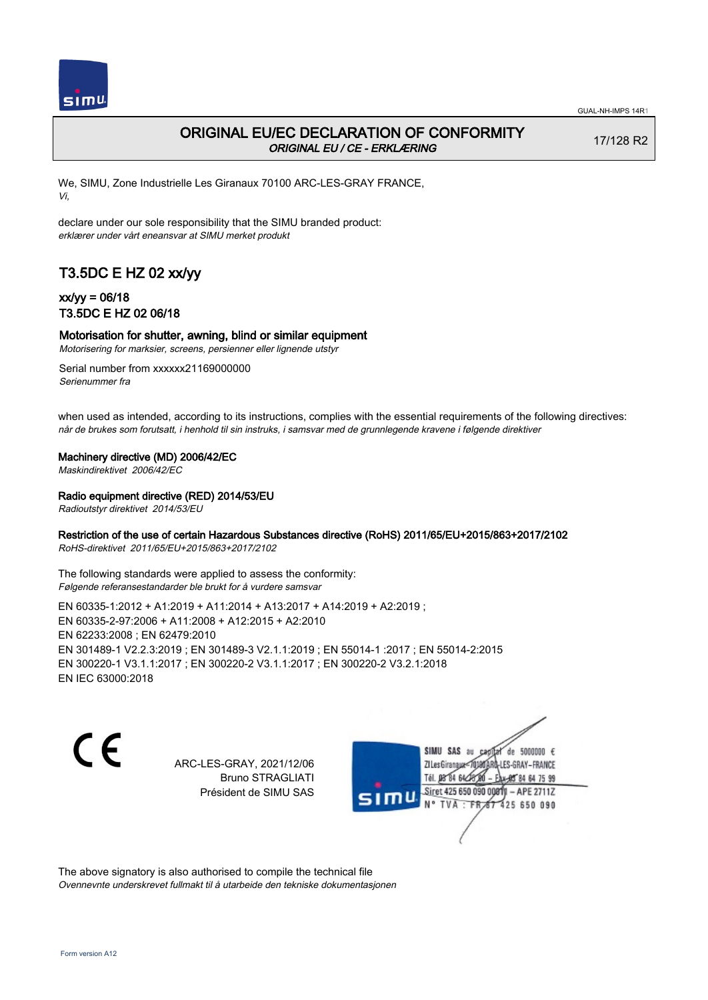

## ORIGINAL EU/EC DECLARATION OF CONFORMITY ORIGINAL EU / CE - ERKLÆRING

17/128 R2

We, SIMU, Zone Industrielle Les Giranaux 70100 ARC-LES-GRAY FRANCE, Vi,

declare under our sole responsibility that the SIMU branded product: erklærer under vårt eneansvar at SIMU merket produkt

# T3.5DC E HZ 02 xx/yy

## xx/yy = 06/18 T3.5DC E HZ 02 06/18

### Motorisation for shutter, awning, blind or similar equipment

Motorisering for marksier, screens, persienner eller lignende utstyr

Serial number from xxxxxx21169000000 Serienummer fra

when used as intended, according to its instructions, complies with the essential requirements of the following directives: når de brukes som forutsatt, i henhold til sin instruks, i samsvar med de grunnlegende kravene i følgende direktiver

Machinery directive (MD) 2006/42/EC

Maskindirektivet 2006/42/EC

Radio equipment directive (RED) 2014/53/EU

Radioutstyr direktivet 2014/53/EU

### Restriction of the use of certain Hazardous Substances directive (RoHS) 2011/65/EU+2015/863+2017/2102

RoHS-direktivet 2011/65/EU+2015/863+2017/2102

The following standards were applied to assess the conformity: Følgende referansestandarder ble brukt for å vurdere samsvar

EN 60335‑1:2012 + A1:2019 + A11:2014 + A13:2017 + A14:2019 + A2:2019 ; EN 60335‑2‑97:2006 + A11:2008 + A12:2015 + A2:2010 EN 62233:2008 ; EN 62479:2010 EN 301489‑1 V2.2.3:2019 ; EN 301489‑3 V2.1.1:2019 ; EN 55014‑1 :2017 ; EN 55014‑2:2015 EN 300220‑1 V3.1.1:2017 ; EN 300220‑2 V3.1.1:2017 ; EN 300220‑2 V3.2.1:2018 EN IEC 63000:2018

CE

ARC-LES-GRAY, 2021/12/06 Bruno STRAGLIATI Président de SIMU SAS

SIMU SAS au de 5000000  $\epsilon$ ZI Les Giranaux< LES-GRAY-FRANCE Tél. 08 84 64 2 64 75 99 Siret 425 650 090 0081  $-$  APF 27117 125 650 090

The above signatory is also authorised to compile the technical file Ovennevnte underskrevet fullmakt til å utarbeide den tekniske dokumentasjonen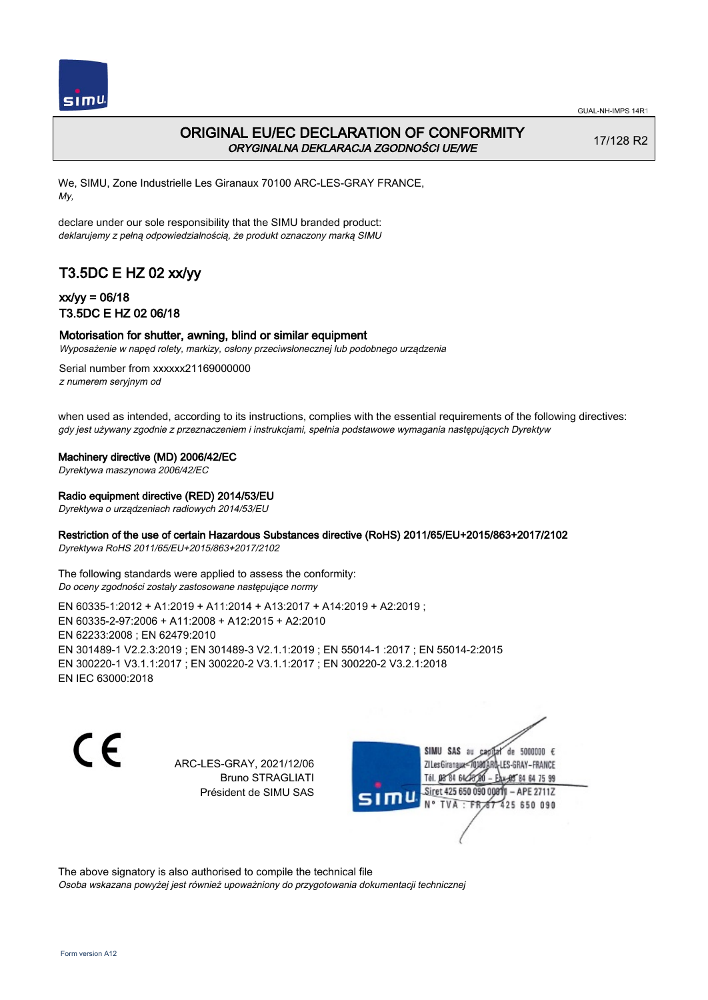

## ORIGINAL EU/EC DECLARATION OF CONFORMITY ORYGINALNA DEKLARACJA ZGODNOŚCI UE/WE

17/128 R2

We, SIMU, Zone Industrielle Les Giranaux 70100 ARC-LES-GRAY FRANCE, My,

declare under our sole responsibility that the SIMU branded product: deklarujemy z pełną odpowiedzialnością, że produkt oznaczony marką SIMU

# T3.5DC E HZ 02 xx/yy

### xx/yy = 06/18 T3.5DC E HZ 02 06/18

### Motorisation for shutter, awning, blind or similar equipment

Wyposażenie w napęd rolety, markizy, osłony przeciwsłonecznej lub podobnego urządzenia

Serial number from xxxxxx21169000000 z numerem seryjnym od

when used as intended, according to its instructions, complies with the essential requirements of the following directives: gdy jest używany zgodnie z przeznaczeniem i instrukcjami, spełnia podstawowe wymagania następujących Dyrektyw

Machinery directive (MD) 2006/42/EC

Dyrektywa maszynowa 2006/42/EC

#### Radio equipment directive (RED) 2014/53/EU

Dyrektywa o urządzeniach radiowych 2014/53/EU

### Restriction of the use of certain Hazardous Substances directive (RoHS) 2011/65/EU+2015/863+2017/2102

Dyrektywa RoHS 2011/65/EU+2015/863+2017/2102

The following standards were applied to assess the conformity: Do oceny zgodności zostały zastosowane następujące normy

EN 60335‑1:2012 + A1:2019 + A11:2014 + A13:2017 + A14:2019 + A2:2019 ; EN 60335‑2‑97:2006 + A11:2008 + A12:2015 + A2:2010 EN 62233:2008 ; EN 62479:2010 EN 301489‑1 V2.2.3:2019 ; EN 301489‑3 V2.1.1:2019 ; EN 55014‑1 :2017 ; EN 55014‑2:2015 EN 300220‑1 V3.1.1:2017 ; EN 300220‑2 V3.1.1:2017 ; EN 300220‑2 V3.2.1:2018 EN IEC 63000:2018

C F

ARC-LES-GRAY, 2021/12/06 Bruno STRAGLIATI Président de SIMU SAS

de 5000000  $\epsilon$ SIMU SAS au ZI Les Giranaux-70180 LES-GRAY-FRANCE Tél. 08 R4 64 2 64 75 99 Siret 425 650 090 00811  $-$  APF 27117 125 650 090

The above signatory is also authorised to compile the technical file Osoba wskazana powyżej jest również upoważniony do przygotowania dokumentacji technicznej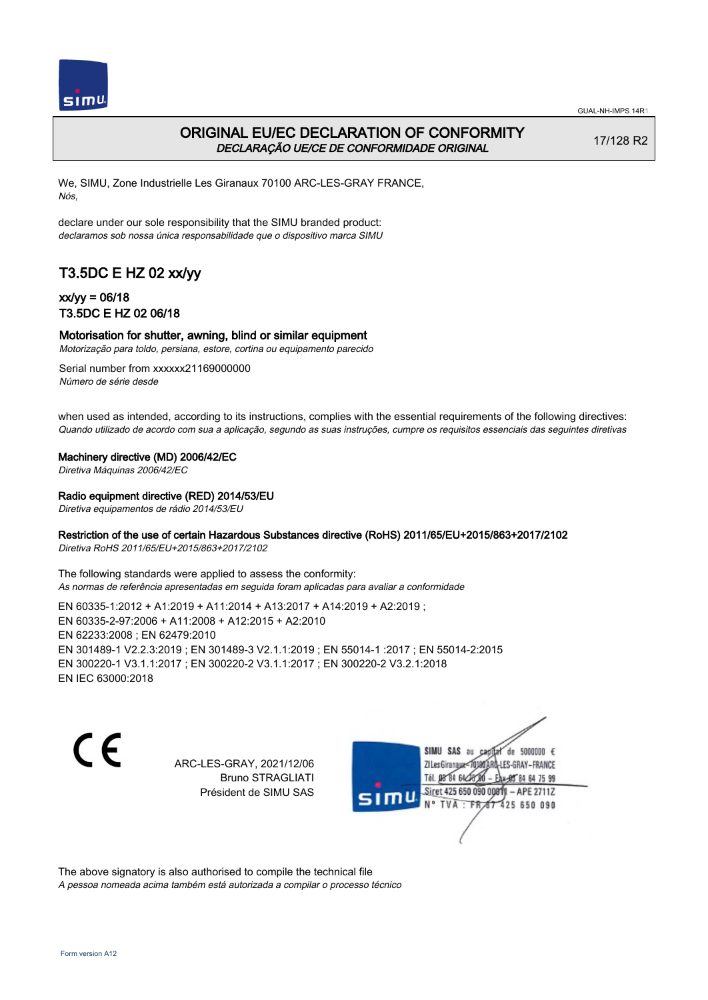

## ORIGINAL EU/EC DECLARATION OF CONFORMITY DECLARAÇÃO UE/CE DE CONFORMIDADE ORIGINAL

17/128 R2

We, SIMU, Zone Industrielle Les Giranaux 70100 ARC-LES-GRAY FRANCE, Nós,

declare under our sole responsibility that the SIMU branded product: declaramos sob nossa única responsabilidade que o dispositivo marca SIMU

# T3.5DC E HZ 02 xx/yy

## xx/yy = 06/18 T3.5DC E HZ 02 06/18

### Motorisation for shutter, awning, blind or similar equipment

Motorização para toldo, persiana, estore, cortina ou equipamento parecido

Serial number from xxxxxx21169000000 Número de série desde

when used as intended, according to its instructions, complies with the essential requirements of the following directives: Quando utilizado de acordo com sua a aplicação, segundo as suas instruções, cumpre os requisitos essenciais das seguintes diretivas

Machinery directive (MD) 2006/42/EC

Diretiva Máquinas 2006/42/EC

### Radio equipment directive (RED) 2014/53/EU

Diretiva equipamentos de rádio 2014/53/EU

### Restriction of the use of certain Hazardous Substances directive (RoHS) 2011/65/EU+2015/863+2017/2102

Diretiva RoHS 2011/65/EU+2015/863+2017/2102

The following standards were applied to assess the conformity: As normas de referência apresentadas em seguida foram aplicadas para avaliar a conformidade

EN 60335‑1:2012 + A1:2019 + A11:2014 + A13:2017 + A14:2019 + A2:2019 ; EN 60335‑2‑97:2006 + A11:2008 + A12:2015 + A2:2010 EN 62233:2008 ; EN 62479:2010 EN 301489‑1 V2.2.3:2019 ; EN 301489‑3 V2.1.1:2019 ; EN 55014‑1 :2017 ; EN 55014‑2:2015 EN 300220‑1 V3.1.1:2017 ; EN 300220‑2 V3.1.1:2017 ; EN 300220‑2 V3.2.1:2018 EN IEC 63000:2018

C F

ARC-LES-GRAY, 2021/12/06 Bruno STRAGLIATI Président de SIMU SAS

de 5000000  $\epsilon$ SIMU SAS au ZI Les Giranaux< ES-GRAY-FRANCE Tél. 08 84 64 2 64 75 99 Siret 425 650 090 00811  $-$  APF 27117 125 650 090

The above signatory is also authorised to compile the technical file A pessoa nomeada acima também está autorizada a compilar o processo técnico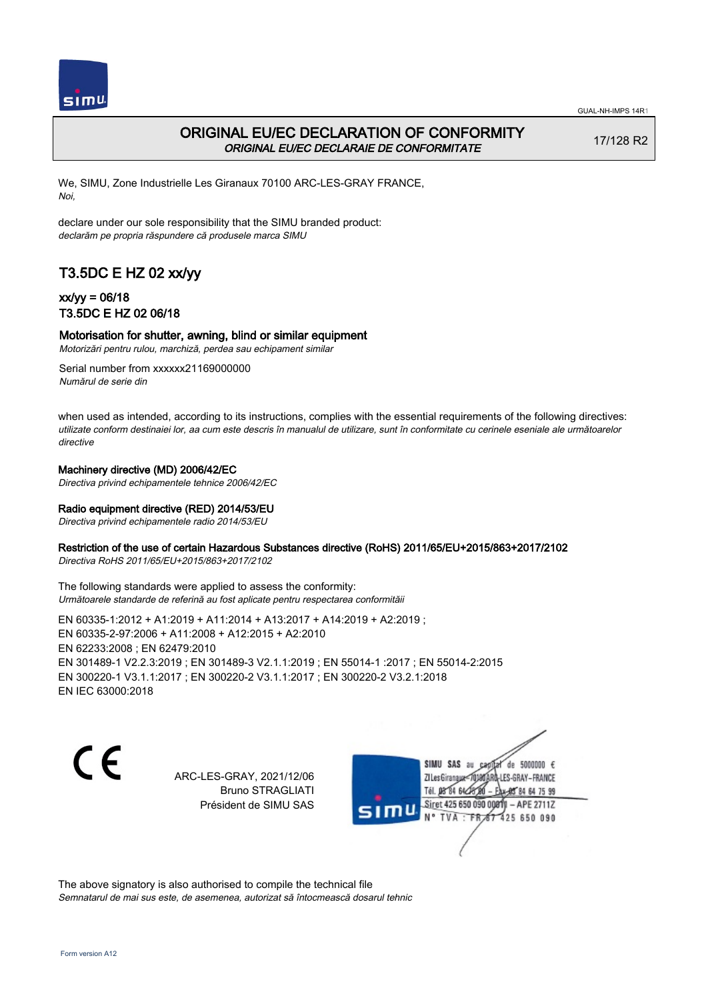

## ORIGINAL EU/EC DECLARATION OF CONFORMITY ORIGINAL EU/EC DECLARAIE DE CONFORMITATE

17/128 R2

We, SIMU, Zone Industrielle Les Giranaux 70100 ARC-LES-GRAY FRANCE, Noi,

declare under our sole responsibility that the SIMU branded product: declarăm pe propria răspundere că produsele marca SIMU

# T3.5DC E HZ 02 xx/yy

## xx/yy = 06/18 T3.5DC E HZ 02 06/18

### Motorisation for shutter, awning, blind or similar equipment

Motorizări pentru rulou, marchiză, perdea sau echipament similar

Serial number from xxxxxx21169000000 Numărul de serie din

when used as intended, according to its instructions, complies with the essential requirements of the following directives: utilizate conform destinaiei lor, aa cum este descris în manualul de utilizare, sunt în conformitate cu cerinele eseniale ale următoarelor directive

### Machinery directive (MD) 2006/42/EC

Directiva privind echipamentele tehnice 2006/42/EC

### Radio equipment directive (RED) 2014/53/EU

Directiva privind echipamentele radio 2014/53/EU

### Restriction of the use of certain Hazardous Substances directive (RoHS) 2011/65/EU+2015/863+2017/2102

Directiva RoHS 2011/65/EU+2015/863+2017/2102

The following standards were applied to assess the conformity: Următoarele standarde de referină au fost aplicate pentru respectarea conformităii

EN 60335‑1:2012 + A1:2019 + A11:2014 + A13:2017 + A14:2019 + A2:2019 ; EN 60335‑2‑97:2006 + A11:2008 + A12:2015 + A2:2010 EN 62233:2008 ; EN 62479:2010 EN 301489‑1 V2.2.3:2019 ; EN 301489‑3 V2.1.1:2019 ; EN 55014‑1 :2017 ; EN 55014‑2:2015 EN 300220‑1 V3.1.1:2017 ; EN 300220‑2 V3.1.1:2017 ; EN 300220‑2 V3.2.1:2018 EN IEC 63000:2018

 $\epsilon$ 

ARC-LES-GRAY, 2021/12/06 Bruno STRAGLIATI Président de SIMU SAS



The above signatory is also authorised to compile the technical file Semnatarul de mai sus este, de asemenea, autorizat să întocmească dosarul tehnic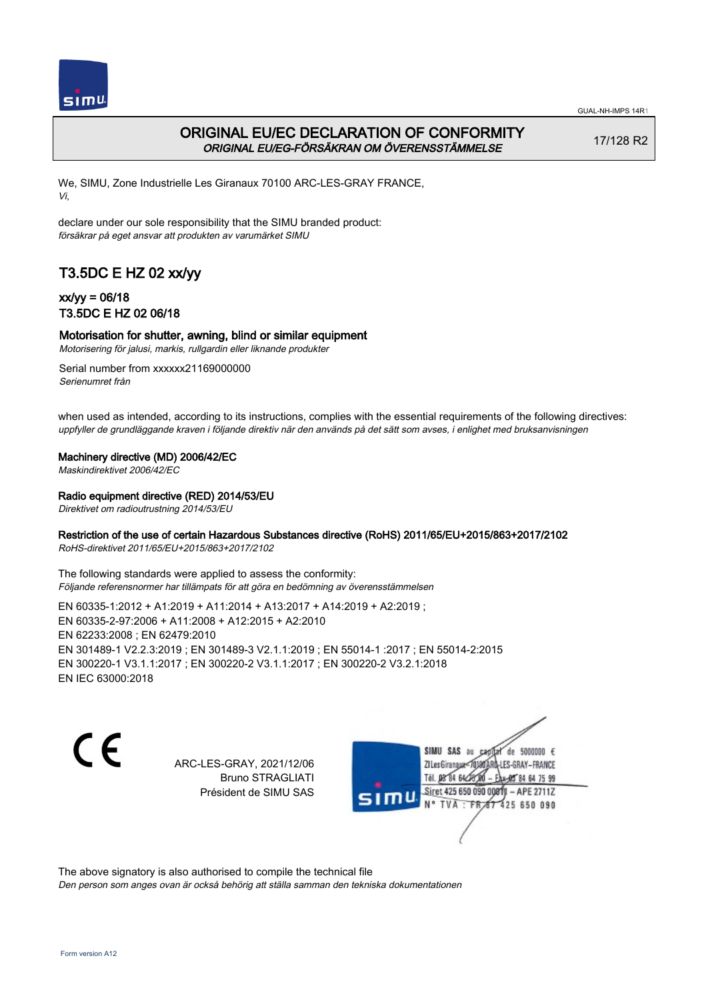

## ORIGINAL EU/EC DECLARATION OF CONFORMITY ORIGINAL EU/EG-FÖRSÄKRAN OM ÖVERENSSTÄMMELSE

17/128 R2

We, SIMU, Zone Industrielle Les Giranaux 70100 ARC-LES-GRAY FRANCE, Vi,

declare under our sole responsibility that the SIMU branded product: försäkrar på eget ansvar att produkten av varumärket SIMU

# T3.5DC E HZ 02 xx/yy

## xx/yy = 06/18 T3.5DC E HZ 02 06/18

### Motorisation for shutter, awning, blind or similar equipment

Motorisering för jalusi, markis, rullgardin eller liknande produkter

Serial number from xxxxxx21169000000 Serienumret från

when used as intended, according to its instructions, complies with the essential requirements of the following directives: uppfyller de grundläggande kraven i följande direktiv när den används på det sätt som avses, i enlighet med bruksanvisningen

### Machinery directive (MD) 2006/42/EC

Maskindirektivet 2006/42/EC

### Radio equipment directive (RED) 2014/53/EU

Direktivet om radioutrustning 2014/53/EU

### Restriction of the use of certain Hazardous Substances directive (RoHS) 2011/65/EU+2015/863+2017/2102

RoHS-direktivet 2011/65/EU+2015/863+2017/2102

The following standards were applied to assess the conformity: Följande referensnormer har tillämpats för att göra en bedömning av överensstämmelsen

EN 60335‑1:2012 + A1:2019 + A11:2014 + A13:2017 + A14:2019 + A2:2019 ; EN 60335‑2‑97:2006 + A11:2008 + A12:2015 + A2:2010 EN 62233:2008 ; EN 62479:2010 EN 301489‑1 V2.2.3:2019 ; EN 301489‑3 V2.1.1:2019 ; EN 55014‑1 :2017 ; EN 55014‑2:2015 EN 300220‑1 V3.1.1:2017 ; EN 300220‑2 V3.1.1:2017 ; EN 300220‑2 V3.2.1:2018 EN IEC 63000:2018

 $\epsilon$ 

ARC-LES-GRAY, 2021/12/06 Bruno STRAGLIATI Président de SIMU SAS

de 5000000  $\epsilon$ SIMU SAS au ZI Les Giranaux< ES-GRAY-FRANCE Tél. 08 84 64 2 64 75 99 Siret 425 650 090 00811  $-$  APF 27117 125 650 090

The above signatory is also authorised to compile the technical file

Den person som anges ovan är också behörig att ställa samman den tekniska dokumentationen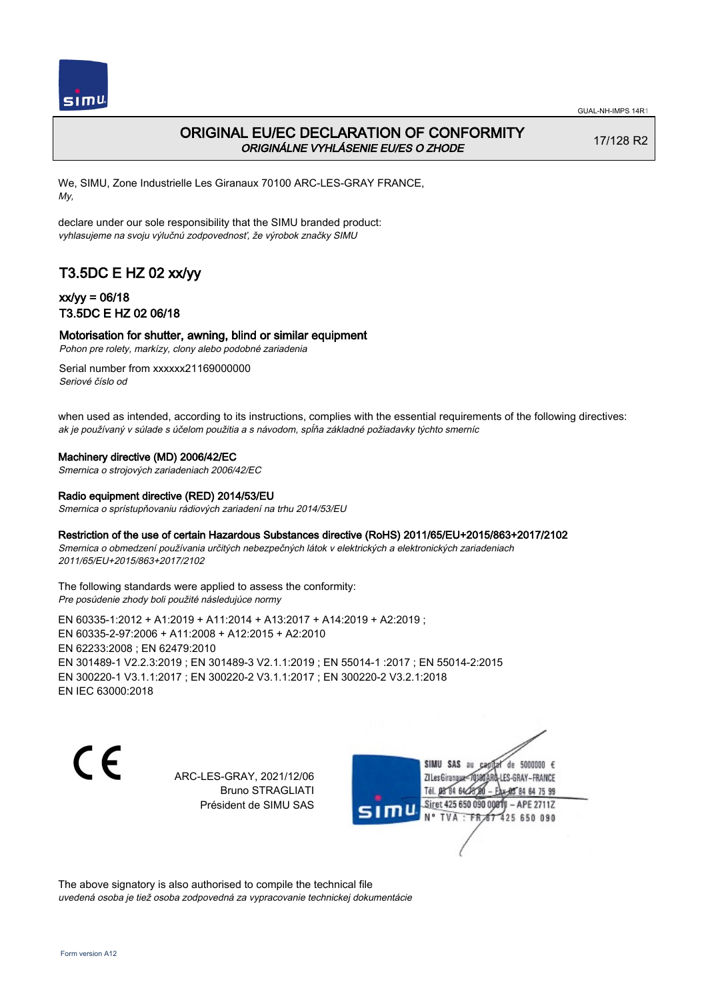

## ORIGINAL EU/EC DECLARATION OF CONFORMITY ORIGINÁLNE VYHLÁSENIE EU/ES O ZHODE

17/128 R2

We, SIMU, Zone Industrielle Les Giranaux 70100 ARC-LES-GRAY FRANCE, My,

declare under our sole responsibility that the SIMU branded product: vyhlasujeme na svoju výlučnú zodpovednosť, že výrobok značky SIMU

# T3.5DC E HZ 02 xx/yy

## xx/yy = 06/18 T3.5DC E HZ 02 06/18

### Motorisation for shutter, awning, blind or similar equipment

Pohon pre rolety, markízy, clony alebo podobné zariadenia

Serial number from xxxxxx21169000000 Seriové číslo od

when used as intended, according to its instructions, complies with the essential requirements of the following directives: ak je používaný v súlade s účelom použitia a s návodom, spĺňa základné požiadavky týchto smerníc

### Machinery directive (MD) 2006/42/EC

Smernica o strojových zariadeniach 2006/42/EC

#### Radio equipment directive (RED) 2014/53/EU

Smernica o sprístupňovaniu rádiových zariadení na trhu 2014/53/EU

### Restriction of the use of certain Hazardous Substances directive (RoHS) 2011/65/EU+2015/863+2017/2102

Smernica o obmedzení používania určitých nebezpečných látok v elektrických a elektronických zariadeniach 2011/65/EU+2015/863+2017/2102

#### The following standards were applied to assess the conformity: Pre posúdenie zhody boli použité následujúce normy

EN 60335‑1:2012 + A1:2019 + A11:2014 + A13:2017 + A14:2019 + A2:2019 ; EN 60335‑2‑97:2006 + A11:2008 + A12:2015 + A2:2010 EN 62233:2008 ; EN 62479:2010 EN 301489‑1 V2.2.3:2019 ; EN 301489‑3 V2.1.1:2019 ; EN 55014‑1 :2017 ; EN 55014‑2:2015 EN 300220‑1 V3.1.1:2017 ; EN 300220‑2 V3.1.1:2017 ; EN 300220‑2 V3.2.1:2018 EN IEC 63000:2018

 $\epsilon$ 

ARC-LES-GRAY, 2021/12/06 Bruno STRAGLIATI Président de SIMU SAS



The above signatory is also authorised to compile the technical file uvedená osoba je tiež osoba zodpovedná za vypracovanie technickej dokumentácie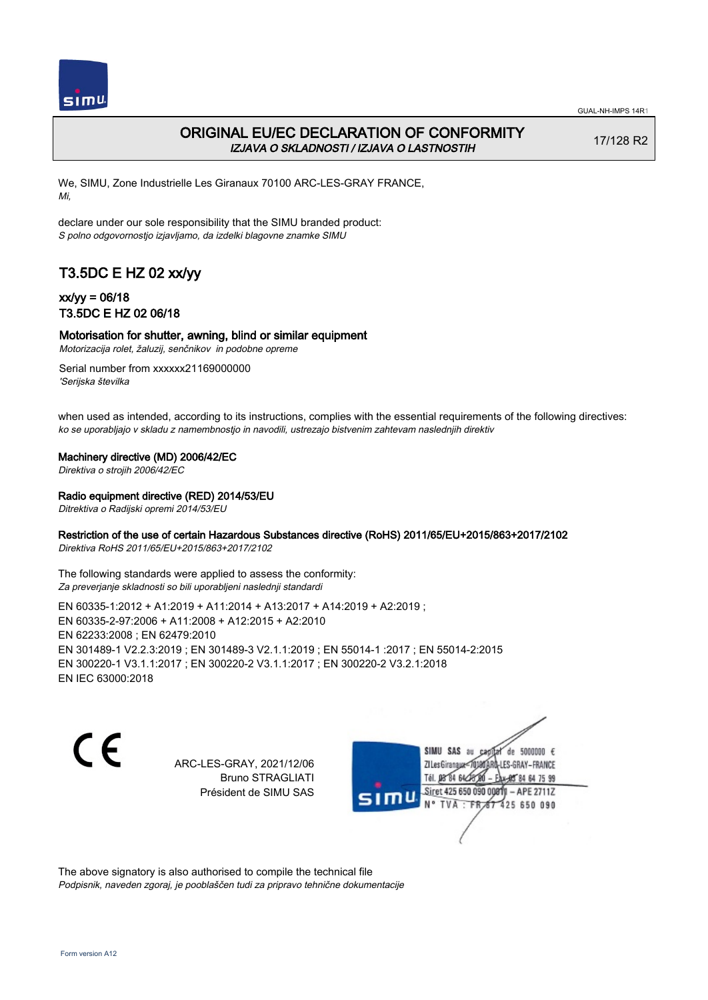

## ORIGINAL EU/EC DECLARATION OF CONFORMITY IZJAVA O SKLADNOSTI / IZJAVA O LASTNOSTIH

17/128 R2

We, SIMU, Zone Industrielle Les Giranaux 70100 ARC-LES-GRAY FRANCE, Mi,

declare under our sole responsibility that the SIMU branded product: S polno odgovornostjo izjavljamo, da izdelki blagovne znamke SIMU

# T3.5DC E HZ 02 xx/yy

## xx/yy = 06/18 T3.5DC E HZ 02 06/18

### Motorisation for shutter, awning, blind or similar equipment

Motorizacija rolet, žaluzij, senčnikov in podobne opreme

Serial number from xxxxxx21169000000 'Serijska številka

when used as intended, according to its instructions, complies with the essential requirements of the following directives: ko se uporabljajo v skladu z namembnostjo in navodili, ustrezajo bistvenim zahtevam naslednjih direktiv

### Machinery directive (MD) 2006/42/EC

Direktiva o strojih 2006/42/EC

### Radio equipment directive (RED) 2014/53/EU

Ditrektiva o Radijski opremi 2014/53/EU

### Restriction of the use of certain Hazardous Substances directive (RoHS) 2011/65/EU+2015/863+2017/2102

Direktiva RoHS 2011/65/EU+2015/863+2017/2102

The following standards were applied to assess the conformity: Za preverjanje skladnosti so bili uporabljeni naslednji standardi

EN 60335‑1:2012 + A1:2019 + A11:2014 + A13:2017 + A14:2019 + A2:2019 ; EN 60335‑2‑97:2006 + A11:2008 + A12:2015 + A2:2010 EN 62233:2008 ; EN 62479:2010 EN 301489‑1 V2.2.3:2019 ; EN 301489‑3 V2.1.1:2019 ; EN 55014‑1 :2017 ; EN 55014‑2:2015 EN 300220‑1 V3.1.1:2017 ; EN 300220‑2 V3.1.1:2017 ; EN 300220‑2 V3.2.1:2018 EN IEC 63000:2018

C F

ARC-LES-GRAY, 2021/12/06 Bruno STRAGLIATI Président de SIMU SAS

SIMU SAS au de 5000000  $\epsilon$ ZI Les Giranaux-70180 LES-GRAY-FRANCE Tél. 08 R4 64 2 64 75 99 Siret 425 650 090 0081  $-$  APF 27117 125 650 090  $-FR$ 

The above signatory is also authorised to compile the technical file Podpisnik, naveden zgoraj, je pooblaščen tudi za pripravo tehnične dokumentacije